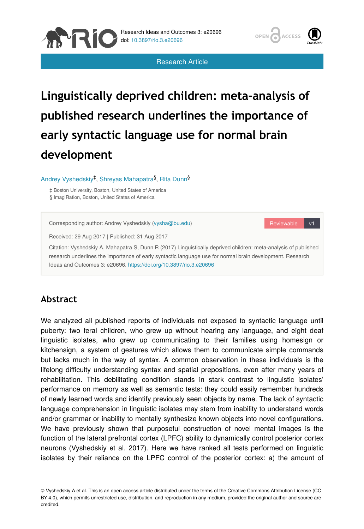

Research Article



# **Linguistically deprived children: meta-analysis of published research underlines the importance of early syntactic language use for normal brain development**

Andrey Vyshedskiy<sup>‡</sup>, Shreyas Mahapatra<sup>§</sup>, Rita Dunn<sup>§</sup>

‡ Boston University, Boston, United States of America § ImagiRation, Boston, United States of America

Reviewable v1 Corresponding author: Andrey Vyshedskiy ([vysha@bu.edu](mailto:vysha@bu.edu)) Received: 29 Aug 2017 | Published: 31 Aug 2017 Citation: Vyshedskiy A, Mahapatra S, Dunn R (2017) Linguistically deprived children: meta-analysis of published research underlines the importance of early syntactic language use for normal brain development. Research Ideas and Outcomes 3: e20696.<https://doi.org/10.3897/rio.3.e20696>

# **Abstract**

We analyzed all published reports of individuals not exposed to syntactic language until puberty: two feral children, who grew up without hearing any language, and eight deaf linguistic isolates, who grew up communicating to their families using homesign or kitchensign, a system of gestures which allows them to communicate simple commands but lacks much in the way of syntax. A common observation in these individuals is the lifelong difficulty understanding syntax and spatial prepositions, even after many years of rehabilitation. This debilitating condition stands in stark contrast to linguistic isolates' performance on memory as well as semantic tests: they could easily remember hundreds of newly learned words and identify previously seen objects by name. The lack of syntactic language comprehension in linguistic isolates may stem from inability to understand words and/or grammar or inability to mentally synthesize known objects into novel configurations. We have previously shown that purposeful construction of novel mental images is the function of the lateral prefrontal cortex (LPFC) ability to dynamically control posterior cortex neurons (Vyshedskiy et al. 2017). Here we have ranked all tests performed on linguistic isolates by their reliance on the LPFC control of the posterior cortex: a) the amount of

© Vyshedskiy A et al. This is an open access article distributed under the terms of the Creative Commons Attribution License (CC BY 4.0), which permits unrestricted use, distribution, and reproduction in any medium, provided the original author and source are credited.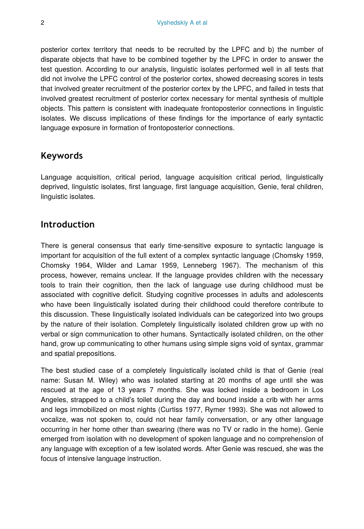posterior cortex territory that needs to be recruited by the LPFC and b) the number of disparate objects that have to be combined together by the LPFC in order to answer the test question. According to our analysis, linguistic isolates performed well in all tests that did not involve the LPFC control of the posterior cortex, showed decreasing scores in tests that involved greater recruitment of the posterior cortex by the LPFC, and failed in tests that involved greatest recruitment of posterior cortex necessary for mental synthesis of multiple objects. This pattern is consistent with inadequate frontoposterior connections in linguistic isolates. We discuss implications of these findings for the importance of early syntactic language exposure in formation of frontoposterior connections.

# **Keywords**

Language acquisition, critical period, language acquisition critical period, linguistically deprived, linguistic isolates, first language, first language acquisition, Genie, feral children, linguistic isolates.

# **Introduction**

There is general consensus that early time-sensitive exposure to syntactic language is important for acquisition of the full extent of a complex syntactic language (Chomsky 1959, Chomsky 1964, Wilder and Lamar 1959, Lenneberg 1967). The mechanism of this process, however, remains unclear. If the language provides children with the necessary tools to train their cognition, then the lack of language use during childhood must be associated with cognitive deficit. Studying cognitive processes in adults and adolescents who have been linguistically isolated during their childhood could therefore contribute to this discussion. These linguistically isolated individuals can be categorized into two groups by the nature of their isolation. Completely linguistically isolated children grow up with no verbal or sign communication to other humans. Syntactically isolated children, on the other hand, grow up communicating to other humans using simple signs void of syntax, grammar and spatial prepositions.

The best studied case of a completely linguistically isolated child is that of Genie (real name: Susan M. Wiley) who was isolated starting at 20 months of age until she was rescued at the age of 13 years 7 months. She was locked inside a bedroom in Los Angeles, strapped to a child's toilet during the day and bound inside a crib with her arms and legs immobilized on most nights (Curtiss 1977, Rymer 1993). She was not allowed to vocalize, was not spoken to, could not hear family conversation, or any other language occurring in her home other than swearing (there was no TV or radio in the home). Genie emerged from isolation with no development of spoken language and no comprehension of any language with exception of a few isolated words. After Genie was rescued, she was the focus of intensive language instruction.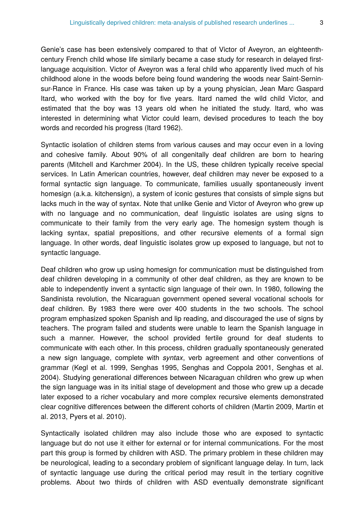Genie's case has been extensively compared to that of Victor of Aveyron, an eighteenthcentury French child whose life similarly became a case study for research in delayed firstlanguage acquisition. Victor of Aveyron was a feral child who apparently lived much of his childhood alone in the woods before being found wandering the woods near Saint-Serninsur-Rance in France. His case was taken up by a young physician, Jean Marc Gaspard Itard, who worked with the boy for five years. Itard named the wild child Victor, and estimated that the boy was 13 years old when he initiated the study. Itard, who was interested in determining what Victor could learn, devised procedures to teach the boy words and recorded his progress (Itard 1962).

Syntactic isolation of children stems from various causes and may occur even in a loving and cohesive family. About 90% of all congenitally deaf children are born to hearing parents (Mitchell and Karchmer 2004). In the US, these children typically receive special services. In Latin American countries, however, deaf children may never be exposed to a formal syntactic sign language. To communicate, families usually spontaneously invent homesign (a.k.a. kitchensign), a system of iconic gestures that consists of simple signs but lacks much in the way of syntax. Note that unlike Genie and Victor of Aveyron who grew up with no language and no communication, deaf linguistic isolates are using signs to communicate to their family from the very early age. The homesign system though is lacking syntax, spatial prepositions, and other recursive elements of a formal sign language. In other words, deaf linguistic isolates grow up exposed to language, but not to syntactic language.

Deaf children who grow up using homesign for communication must be distinguished from deaf children developing in a community of other deaf children, as they are known to be able to independently invent a syntactic sign language of their own. In 1980, following the Sandinista revolution, the Nicaraguan government opened several vocational schools for deaf children. By 1983 there were over 400 students in the two schools. The school program emphasized spoken Spanish and lip reading, and discouraged the use of signs by teachers. The program failed and students were unable to learn the Spanish language in such a manner. However, the school provided fertile ground for deaf students to communicate with each other. In this process, children gradually spontaneously generated a new sign language, complete with *syntax*, verb agreement and other conventions of grammar (Kegl et al. 1999, Senghas 1995, Senghas and Coppola 2001, Senghas et al. 2004). Studying generational differences between Nicaraguan children who grew up when the sign language was in its initial stage of development and those who grew up a decade later exposed to a richer vocabulary and more complex recursive elements demonstrated clear cognitive differences between the different cohorts of children (Martin 2009, Martin et al. 2013, Pyers et al. 2010).

Syntactically isolated children may also include those who are exposed to syntactic language but do not use it either for external or for internal communications. For the most part this group is formed by children with ASD. The primary problem in these children may be neurological, leading to a secondary problem of significant language delay. In turn, lack of syntactic language use during the critical period may result in the tertiary cognitive problems. About two thirds of children with ASD eventually demonstrate significant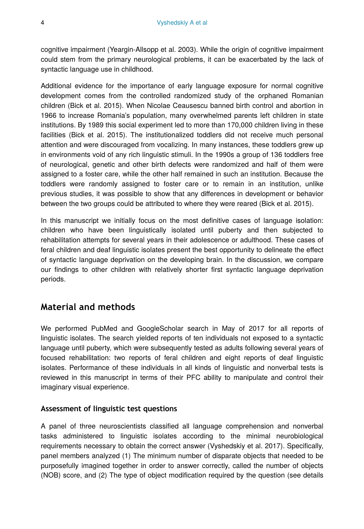cognitive impairment (Yeargin-Allsopp et al. 2003). While the origin of cognitive impairment could stem from the primary neurological problems, it can be exacerbated by the lack of syntactic language use in childhood.

Additional evidence for the importance of early language exposure for normal cognitive development comes from the controlled randomized study of the orphaned Romanian children (Bick et al. 2015). When Nicolae Ceausescu banned birth control and abortion in 1966 to increase Romania's population, many overwhelmed parents left children in state institutions. By 1989 this social experiment led to more than 170,000 children living in these facilities (Bick et al. 2015). The institutionalized toddlers did not receive much personal attention and were discouraged from vocalizing. In many instances, these toddlers grew up in environments void of any rich linguistic stimuli. In the 1990s a group of 136 toddlers free of neurological, genetic and other birth defects were randomized and half of them were assigned to a foster care, while the other half remained in such an institution. Because the toddlers were randomly assigned to foster care or to remain in an institution, unlike previous studies, it was possible to show that any differences in development or behavior between the two groups could be attributed to where they were reared (Bick et al. 2015).

In this manuscript we initially focus on the most definitive cases of language isolation: children who have been linguistically isolated until puberty and then subjected to rehabilitation attempts for several years in their adolescence or adulthood. These cases of feral children and deaf linguistic isolates present the best opportunity to delineate the effect of syntactic language deprivation on the developing brain. In the discussion, we compare our findings to other children with relatively shorter first syntactic language deprivation periods.

# **Material and methods**

We performed PubMed and GoogleScholar search in May of 2017 for all reports of linguistic isolates. The search yielded reports of ten individuals not exposed to a syntactic language until puberty, which were subsequently tested as adults following several years of focused rehabilitation: two reports of feral children and eight reports of deaf linguistic isolates. Performance of these individuals in all kinds of linguistic and nonverbal tests is reviewed in this manuscript in terms of their PFC ability to manipulate and control their imaginary visual experience.

## **Assessment of linguistic test questions**

A panel of three neuroscientists classified all language comprehension and nonverbal tasks administered to linguistic isolates according to the minimal neurobiological requirements necessary to obtain the correct answer (Vyshedskiy et al. 2017). Specifically, panel members analyzed (1) The minimum number of disparate objects that needed to be purposefully imagined together in order to answer correctly, called the number of objects (NOB) score, and (2) The type of object modification required by the question (see details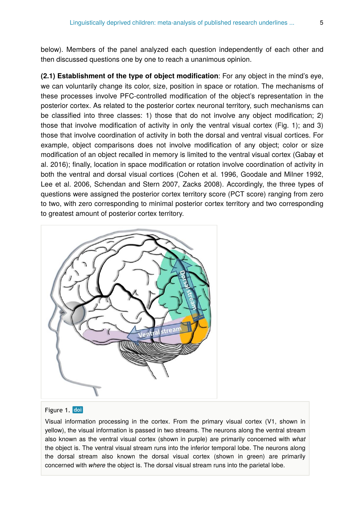below). Members of the panel analyzed each question independently of each other and then discussed questions one by one to reach a unanimous opinion.

**(2.1) Establishment of the type of object modification**: For any object in the mind's eye, we can voluntarily change its color, size, position in space or rotation. The mechanisms of these processes involve PFC-controlled modification of the object's representation in the posterior cortex. As related to the posterior cortex neuronal territory, such mechanisms can be classified into three classes: 1) those that do not involve any object modification; 2) those that involve modification of activity in only the ventral visual cortex (Fig. 1); and 3) those that involve coordination of activity in both the dorsal and ventral visual cortices. For example, object comparisons does not involve modification of any object; color or size modification of an object recalled in memory is limited to the ventral visual cortex (Gabay et al. 2016); finally, location in space modification or rotation involve coordination of activity in both the ventral and dorsal visual cortices (Cohen et al. 1996, Goodale and Milner 1992, Lee et al. 2006, Schendan and Stern 2007, Zacks 2008). Accordingly, the three types of questions were assigned the posterior cortex territory score (PCT score) ranging from zero to two, with zero corresponding to minimal posterior cortex territory and two corresponding to greatest amount of posterior cortex territory.



#### Figure 1. doi

Visual information processing in the cortex. From the primary visual cortex (V1, shown in yellow), the visual information is passed in two streams. The neurons along the ventral stream also known as the ventral visual cortex (shown in purple) are primarily concerned with *what* the object is. The ventral visual stream runs into the inferior temporal lobe. The neurons along the dorsal stream also known the dorsal visual cortex (shown in green) are primarily concerned with *where* the object is. The dorsal visual stream runs into the parietal lobe.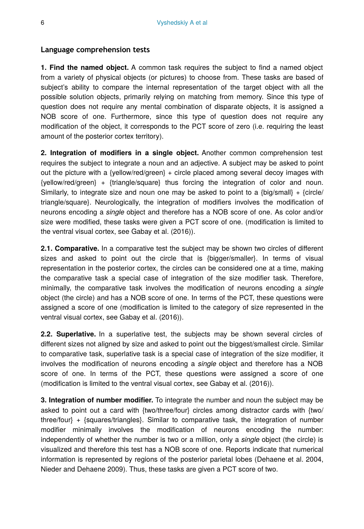#### **Language comprehension tests**

**1. Find the named object.** A common task requires the subject to find a named object from a variety of physical objects (or pictures) to choose from. These tasks are based of subject's ability to compare the internal representation of the target object with all the possible solution objects, primarily relying on matching from memory. Since this type of question does not require any mental combination of disparate objects, it is assigned a NOB score of one. Furthermore, since this type of question does not require any modification of the object, it corresponds to the PCT score of zero (i.e. requiring the least amount of the posterior cortex territory).

**2. Integration of modifiers in a single object.** Another common comprehension test requires the subject to integrate a noun and an adjective. A subject may be asked to point out the picture with a {yellow/red/green} + circle placed among several decoy images with {yellow/red/green} + {triangle/square} thus forcing the integration of color and noun. Similarly, to integrate size and noun one may be asked to point to a  $\{big/ \$ triangle/square}. Neurologically, the integration of modifiers involves the modification of neurons encoding a *single* object and therefore has a NOB score of one. As color and/or size were modified, these tasks were given a PCT score of one. (modification is limited to the ventral visual cortex, see Gabay et al. (2016)).

**2.1. Comparative.** In a comparative test the subject may be shown two circles of different sizes and asked to point out the circle that is {bigger/smaller}. In terms of visual representation in the posterior cortex, the circles can be considered one at a time, making the comparative task a special case of integration of the size modifier task. Therefore, minimally, the comparative task involves the modification of neurons encoding a *single* object (the circle) and has a NOB score of one. In terms of the PCT, these questions were assigned a score of one (modification is limited to the category of size represented in the ventral visual cortex, see Gabay et al. (2016)).

**2.2. Superlative.** In a superlative test, the subjects may be shown several circles of different sizes not aligned by size and asked to point out the biggest/smallest circle. Similar to comparative task, superlative task is a special case of integration of the size modifier, it involves the modification of neurons encoding a *single* object and therefore has a NOB score of one. In terms of the PCT, these questions were assigned a score of one (modification is limited to the ventral visual cortex, see Gabay et al. (2016)).

**3. Integration of number modifier.** To integrate the number and noun the subject may be asked to point out a card with {two/three/four} circles among distractor cards with {two/ three/four} + {squares/triangles}. Similar to comparative task, the integration of number modifier minimally involves the modification of neurons encoding the number: independently of whether the number is two or a million, only a *single* object (the circle) is visualized and therefore this test has a NOB score of one. Reports indicate that numerical information is represented by regions of the posterior parietal lobes (Dehaene et al. 2004, Nieder and Dehaene 2009). Thus, these tasks are given a PCT score of two.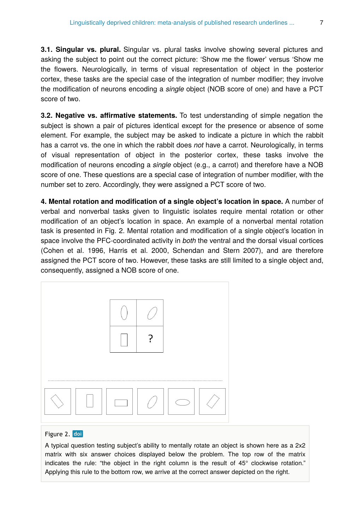**3.1. Singular vs. plural.** Singular vs. plural tasks involve showing several pictures and asking the subject to point out the correct picture: 'Show me the flower' versus 'Show me the flowers. Neurologically, in terms of visual representation of object in the posterior cortex, these tasks are the special case of the integration of number modifier; they involve the modification of neurons encoding a *single* object (NOB score of one) and have a PCT score of two.

**3.2. Negative vs. affirmative statements.** To test understanding of simple negation the subject is shown a pair of pictures identical except for the presence or absence of some element. For example, the subject may be asked to indicate a picture in which the rabbit has a carrot vs. the one in which the rabbit does *not* have a carrot. Neurologically, in terms of visual representation of object in the posterior cortex, these tasks involve the modification of neurons encoding a *single* object (e.g., a carrot) and therefore have a NOB score of one. These questions are a special case of integration of number modifier, with the number set to zero. Accordingly, they were assigned a PCT score of two.

**4. Mental rotation and modification of a single object's location in space.** A number of verbal and nonverbal tasks given to linguistic isolates require mental rotation or other modification of an object's location in space. An example of a nonverbal mental rotation task is presented in Fig. 2. Mental rotation and modification of a single object's location in space involve the PFC-coordinated activity in *both* the ventral and the dorsal visual cortices (Cohen et al. 1996, Harris et al. 2000, Schendan and Stern 2007), and are therefore assigned the PCT score of two. However, these tasks are still limited to a single object and, consequently, assigned a NOB score of one.



#### Figure 2. doi

A typical question testing subject's ability to mentally rotate an object is shown here as a 2x2 matrix with six answer choices displayed below the problem. The top row of the matrix indicates the rule: "the object in the right column is the result of 45° clockwise rotation." Applying this rule to the bottom row, we arrive at the correct answer depicted on the right.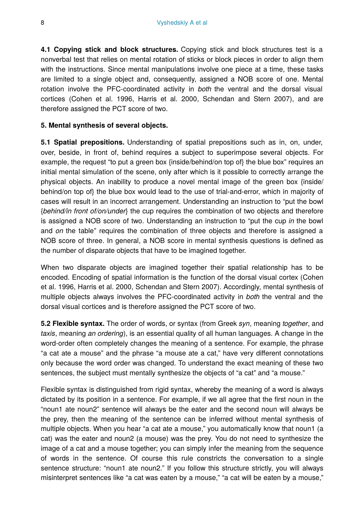**4.1 Copying stick and block structures.** Copying stick and block structures test is a nonverbal test that relies on mental rotation of sticks or block pieces in order to align them with the instructions. Since mental manipulations involve one piece at a time, these tasks are limited to a single object and, consequently, assigned a NOB score of one. Mental rotation involve the PFC-coordinated activity in *both* the ventral and the dorsal visual cortices (Cohen et al. 1996, Harris et al. 2000, Schendan and Stern 2007), and are therefore assigned the PCT score of two.

#### **5. Mental synthesis of several objects.**

**5.1 Spatial prepositions.** Understanding of spatial prepositions such as in, on, under, over, beside, in front of, behind requires a subject to superimpose several objects. For example, the request "to put a green box {inside/behind/on top of} the blue box" requires an initial mental simulation of the scene, only after which is it possible to correctly arrange the physical objects. An inability to produce a novel mental image of the green box {inside/ behind/on top of} the blue box would lead to the use of trial-and-error, which in majority of cases will result in an incorrect arrangement. Understanding an instruction to "put the bowl {*behind/in front of/on/under*} the cup requires the combination of two objects and therefore is assigned a NOB score of two. Understanding an instruction to "put the cup *in* the bowl and *on* the table" requires the combination of three objects and therefore is assigned a NOB score of three. In general, a NOB score in mental synthesis questions is defined as the number of disparate objects that have to be imagined together.

When two disparate objects are imagined together their spatial relationship has to be encoded. Encoding of spatial information is the function of the dorsal visual cortex (Cohen et al. 1996, Harris et al. 2000, Schendan and Stern 2007). Accordingly, mental synthesis of multiple objects always involves the PFC-coordinated activity in *both* the ventral and the dorsal visual cortices and is therefore assigned the PCT score of two.

**5.2 Flexible syntax.** The order of words, or syntax (from Greek *syn*, meaning *together*, and *taxis*, meaning *an ordering*), is an essential quality of all human languages. A change in the word-order often completely changes the meaning of a sentence. For example, the phrase "a cat ate a mouse" and the phrase "a mouse ate a cat," have very different connotations only because the word order was changed. To understand the exact meaning of these two sentences, the subject must mentally synthesize the objects of "a cat" and "a mouse."

Flexible syntax is distinguished from rigid syntax, whereby the meaning of a word is always dictated by its position in a sentence. For example, if we all agree that the first noun in the "noun1 ate noun2" sentence will always be the eater and the second noun will always be the prey, then the meaning of the sentence can be inferred without mental synthesis of multiple objects. When you hear "a cat ate a mouse," you automatically know that noun1 (a cat) was the eater and noun2 (a mouse) was the prey. You do not need to synthesize the image of a cat and a mouse together; you can simply infer the meaning from the sequence of words in the sentence. Of course this rule constricts the conversation to a single sentence structure: "noun1 ate noun2." If you follow this structure strictly, you will always misinterpret sentences like "a cat was eaten by a mouse," "a cat will be eaten by a mouse,"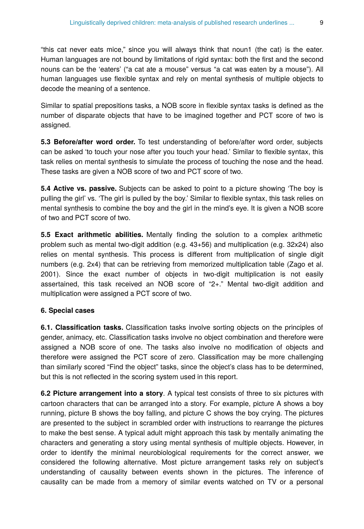"this cat never eats mice," since you will always think that noun1 (the cat) is the eater. Human languages are not bound by limitations of rigid syntax: both the first and the second nouns can be the 'eaters' ("a cat ate a mouse" versus "a cat was eaten by a mouse"). All human languages use flexible syntax and rely on mental synthesis of multiple objects to decode the meaning of a sentence.

Similar to spatial prepositions tasks, a NOB score in flexible syntax tasks is defined as the number of disparate objects that have to be imagined together and PCT score of two is assigned.

**5.3 Before/after word order.** To test understanding of before/after word order, subjects can be asked 'to touch your nose after you touch your head.' Similar to flexible syntax, this task relies on mental synthesis to simulate the process of touching the nose and the head. These tasks are given a NOB score of two and PCT score of two.

**5.4 Active vs. passive.** Subjects can be asked to point to a picture showing 'The boy is pulling the girl' vs. 'The girl is pulled by the boy.' Similar to flexible syntax, this task relies on mental synthesis to combine the boy and the girl in the mind's eye. It is given a NOB score of two and PCT score of two.

**5.5 Exact arithmetic abilities.** Mentally finding the solution to a complex arithmetic problem such as mental two-digit addition (e.g. 43+56) and multiplication (e.g. 32x24) also relies on mental synthesis. This process is different from multiplication of single digit numbers (e.g. 2x4) that can be retrieving from memorized multiplication table (Zago et al. 2001). Since the exact number of objects in two-digit multiplication is not easily assertained, this task received an NOB score of "2+." Mental two-digit addition and multiplication were assigned a PCT score of two.

## **6. Special cases**

**6.1. Classification tasks.** Classification tasks involve sorting objects on the principles of gender, animacy, etc. Classification tasks involve no object combination and therefore were assigned a NOB score of one. The tasks also involve no modification of objects and therefore were assigned the PCT score of zero. Classification may be more challenging than similarly scored "Find the object" tasks, since the object's class has to be determined, but this is not reflected in the scoring system used in this report.

**6.2 Picture arrangement into a story**. A typical test consists of three to six pictures with cartoon characters that can be arranged into a story. For example, picture A shows a boy running, picture B shows the boy falling, and picture C shows the boy crying. The pictures are presented to the subject in scrambled order with instructions to rearrange the pictures to make the best sense. A typical adult might approach this task by mentally animating the characters and generating a story using mental synthesis of multiple objects. However, in order to identify the minimal neurobiological requirements for the correct answer, we considered the following alternative. Most picture arrangement tasks rely on subject's understanding of causality between events shown in the pictures. The inference of causality can be made from a memory of similar events watched on TV or a personal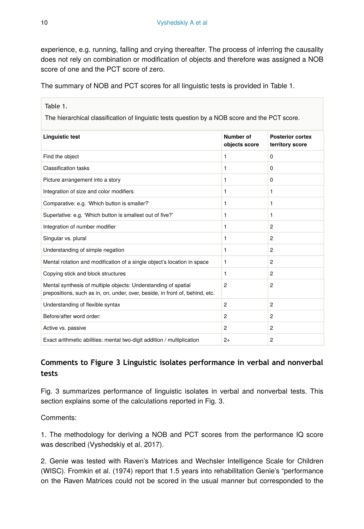experience, e.g. running, falling and crying thereafter. The process of inferring the causality does not rely on combination or modification of objects and therefore was assigned a NOB score of one and the PCT score of zero.

The summary of NOB and PCT scores for all linguistic tests is provided in Table 1.

| Table 1.                                                                                                                                       |                            |                                            |  |  |  |  |  |  |  |  |
|------------------------------------------------------------------------------------------------------------------------------------------------|----------------------------|--------------------------------------------|--|--|--|--|--|--|--|--|
| The hierarchical classification of linguistic tests question by a NOB score and the PCT score.                                                 |                            |                                            |  |  |  |  |  |  |  |  |
| <b>Linguistic test</b>                                                                                                                         | Number of<br>objects score | <b>Posterior cortex</b><br>territory score |  |  |  |  |  |  |  |  |
| Find the object                                                                                                                                | 1                          | $\Omega$                                   |  |  |  |  |  |  |  |  |
| <b>Classification tasks</b>                                                                                                                    | 1                          | <sup>0</sup>                               |  |  |  |  |  |  |  |  |
| Picture arrangement into a story                                                                                                               | 1                          | 0                                          |  |  |  |  |  |  |  |  |
| Integration of size and color modifiers                                                                                                        | 1                          | 1                                          |  |  |  |  |  |  |  |  |
| Comparative: e.g. 'Which button is smaller?'                                                                                                   | 1                          | 1                                          |  |  |  |  |  |  |  |  |
| Superlative: e.g. 'Which button is smallest out of five?'                                                                                      | 1                          | 1                                          |  |  |  |  |  |  |  |  |
| Integration of number modifier                                                                                                                 | 1                          | $\overline{c}$                             |  |  |  |  |  |  |  |  |
| Singular vs. plural                                                                                                                            | 1                          | $\overline{c}$                             |  |  |  |  |  |  |  |  |
| Understanding of simple negation                                                                                                               | 1                          | $\overline{c}$                             |  |  |  |  |  |  |  |  |
| Mental rotation and modification of a single object's location in space                                                                        | 1                          | $\mathfrak{p}$                             |  |  |  |  |  |  |  |  |
| Copying stick and block structures                                                                                                             | 1                          | $\overline{c}$                             |  |  |  |  |  |  |  |  |
| Mental synthesis of multiple objects: Understanding of spatial<br>prepositions, such as in, on, under, over, beside, in front of, behind, etc. | $\overline{2}$             | $\overline{c}$                             |  |  |  |  |  |  |  |  |
| Understanding of flexible syntax                                                                                                               | $\overline{2}$             | $\overline{c}$                             |  |  |  |  |  |  |  |  |
| Before/after word order:                                                                                                                       | $\overline{2}$             | $\overline{c}$                             |  |  |  |  |  |  |  |  |
| Active vs. passive                                                                                                                             | $\overline{2}$             | $\overline{c}$                             |  |  |  |  |  |  |  |  |
| Exact arithmetic abilities: mental two-digit addition / multiplication                                                                         | $2+$                       | $\overline{c}$                             |  |  |  |  |  |  |  |  |

# **Comments to Figure 3 Linguistic isolates performance in verbal and nonverbal tests**

Fig. 3 summarizes performance of linguistic isolates in verbal and nonverbal tests. This section explains some of the calculations reported in Fig. 3.

## Comments:

1. The methodology for deriving a NOB and PCT scores from the performance IQ score was described (Vyshedskiy et al. 2017).

2. Genie was tested with Raven's Matrices and Wechsler Intelligence Scale for Children (WISC). Fromkin et al. (1974) report that 1.5 years into rehabilitation Genie's "performance on the Raven Matrices could not be scored in the usual manner but corresponded to the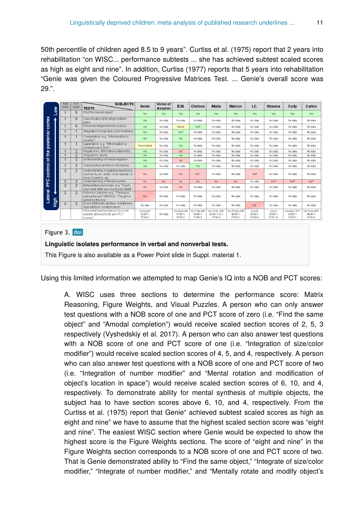50th percentile of children aged 8.5 to 9 years". Curtiss et al. (1975) report that 2 years into rehabilitation "on WISC... performance subtests ... she has achieved subtest scaled scores as high as eight and nine". In addition, Curtiss (1977) reports that 5 years into rehabilitation "Genie was given the Coloured Progressive Matrices Test. ... Genie's overall score was 29.".

|                                    | š | <b>NOB</b><br>score | PCT<br>score   | <b>SUBJECTS</b><br><b>TESTS</b>                                                                            | Genie                                         | Victor of<br>Aveyron | E.M.                                | Chelsea                                            | <b>Maria</b>                                      | <b>Marcus</b>                                      | I.C.                            | <b>Shawna</b>                     | Cody                                              | Carlos                                  |
|------------------------------------|---|---------------------|----------------|------------------------------------------------------------------------------------------------------------|-----------------------------------------------|----------------------|-------------------------------------|----------------------------------------------------|---------------------------------------------------|----------------------------------------------------|---------------------------------|-----------------------------------|---------------------------------------------------|-----------------------------------------|
| posterior cortex<br>control of the |   | $\mathbf{1}$        | 0              | Find the named object                                                                                      | Yes                                           | Yes                  | Yes                                 | Yes                                                | Yes                                               | Yes                                                | Yes                             | Yes                               | Yes                                               | Yes.                                    |
|                                    |   | $\overline{1}$      | $\Omega$       | Classification and categorization<br>tasks                                                                 | Yes                                           | No data              | No data                             | No data                                            | No data                                           | No data                                            | No data                         | No data                           | No data                                           | No data                                 |
|                                    |   | $\mathbf{1}$        | $\Omega$       | Picture arrangement into a story                                                                           | Yes.                                          | No data              | Deficit                             | Yes <sup>4</sup>                                   | No data                                           | No data                                            | No data                         | No data                           | No data                                           | Nn data                                 |
|                                    |   | $\overline{1}$      |                | Integration of size and color modifiers                                                                    | Yes.                                          | No data              | Yes <sup>3</sup>                    | No data                                            | No data                                           | No data                                            | No data                         | No data                           | No data                                           | No data                                 |
|                                    |   | $\mathbf{1}$        |                | Comparative: e.g. 'Which button is<br>smaller?"                                                            | Yes                                           | No data              | Yes.                                | No data                                            | No data                                           | No data                                            | No data                         | No data                           | No data                                           | No data                                 |
|                                    |   | 1                   | $\mathbf{1}$   | Superlative: e.g. 'Which button is<br>smallest out of five?"                                               | Inconsistent                                  | No data              | Yes                                 | No data                                            | No data                                           | No data                                            | No data                         | No data                           | No data                                           | No data                                 |
|                                    |   | $\mathbf{1}$        | $\overline{2}$ | Negative vs. affirmative statements                                                                        | Yes.                                          | No data              | N <sub>D</sub>                      | No data                                            | No data                                           | No data                                            | No data                         | No data                           | No data                                           | No data                                 |
|                                    |   | $\overline{1}$      | $\overline{2}$ | Singularys, plural                                                                                         | Yes                                           | No data              | Yes                                 | No data                                            | No data                                           | No data                                            | No data                         | No data                           | No data                                           | No data                                 |
|                                    |   | $\overline{1}$      | $\overline{2}$ | Understanding of simple negation                                                                           | Yes.                                          | No data              | No.                                 | No data                                            | No data                                           | No data                                            | No data                         | No data                           | No data                                           | No data                                 |
|                                    |   | $\mathbf{1}$        | $\overline{2}$ | Copying stick and block structures                                                                         | Yes.                                          | No data              | No data                             | Yes.                                               | No data                                           | No data                                            | No data                         | No data                           | No data                                           | No data                                 |
|                                    |   | $\overline{2}$      | $\mathfrak{D}$ | Understanding of spatial prepositions<br>such as in, on, under, over, beside, in<br>front of, behind, etc. | No.                                           | No data              | No.                                 | Nn <sup>5</sup>                                    | No data                                           | No data                                            | No <sup>9</sup>                 | No data                           | No data                                           | No data                                 |
| PFC                                |   | $\overline{2}$      | $\overline{2}$ | Understanding of flexible syntax                                                                           | <b>No</b>                                     | No                   | No.                                 | No.                                                | <b>No</b>                                         | No.                                                | No data                         | N <sup>10</sup>                   | Na <sup>10</sup>                                  | N <sub>D</sub> 10                       |
| Lateral<br>$rac{6}{x}$             |   | $\overline{2}$      | $\mathfrak{D}$ | Before/after word order: e.g. 'Touch<br>vour nose after you touch your head."                              | No.                                           | No data              | N <sub>0</sub>                      | No data                                            | No data                                           | No data                                            | No data                         | No data                           | No data                                           | No data                                 |
|                                    |   | $\overline{2}$      | $\overline{2}$ | Active vs. passive: e.g. 'The boy is<br>pulling the girl' VERSUS 'The girl is<br>pulled by the boy'        | No.                                           | No data              | No data                             | No data                                            | No data                                           | No data                                            | No data                         | No data                           | No data                                           | No data                                 |
|                                    |   | $\overline{2}$      | $\overline{2}$ | Exact arithmetic abilities: mental two-<br>digit addition/multiplication                                   | Nn data                                       | Nodata               | No data                             | No data                                            | No data                                           | Nn data                                            | No.                             | No data                           | Nndata                                            | No data                                 |
|                                    |   |                     |                | Nonverbal (performance) IQ score<br>and the derived NOB and PCT<br>scorest                                 | IQ score <sup>2</sup><br>$NOB = 1$<br>$PCB=2$ | No data              | IQ=83 to 88<br>$NOB = 1$<br>$PCB=2$ | IQ=77 to 89 <sup>8</sup><br>$NOB = 1$<br>$PCB = 2$ | Q=73 to 100 <sup>2</sup><br>NOB=1 to 2<br>$PCB=2$ | IQ=70.5 to 85 <sup>8</sup><br>$NOB = 1$<br>$PCB=2$ | $1Q = 65$<br>$NOB = 1$<br>PCB=0 | $10 = 67$<br>$NOB=1$<br>$PCB = 0$ | IQ=84 to 91 <sup>11</sup><br>$NOB = 1$<br>$PCB=2$ | IQ=74 to 8512<br>$NOB = 1$<br>$PCB = 2$ |

#### Figure 3. doi

#### **Linguistic isolates performance in verbal and nonverbal tests.**

This Figure is also available as a Power Point slide in Suppl. material 1.

Using this limited information we attempted to map Genie's IQ into a NOB and PCT scores:

A. WISC uses three sections to determine the performance score: Matrix Reasoning, Figure Weights, and Visual Puzzles. A person who can only answer test questions with a NOB score of one and PCT score of zero (i.e. "Find the same object" and "Amodal completion") would receive scaled section scores of 2, 5, 3 respectively (Vyshedskiy et al. 2017). A person who can also answer test questions with a NOB score of one and PCT score of one (i.e. "Integration of size/color modifier") would receive scaled section scores of 4, 5, and 4, respectively. A person who can also answer test questions with a NOB score of one and PCT score of two (i.e. "Integration of number modifier" and "Mental rotation and modification of object's location in space") would receive scaled section scores of 6, 10, and 4, respectively. To demonstrate ability for mental synthesis of multiple objects, the subject has to have section scores above 6, 10, and 4, respectively. From the Curtiss et al. (1975) report that Genie" achieved subtest scaled scores as high as eight and nine" we have to assume that the highest scaled section score was "eight and nine". The easiest WISC section where Genie would be expected to show the highest score is the Figure Weights sections. The score of "eight and nine" in the Figure Weights section corresponds to a NOB score of one and PCT score of two. That is Genie demonstrated ability to "Find the same object," "Integrate of size/color modifier," "Integrate of number modifier," and "Mentally rotate and modify object's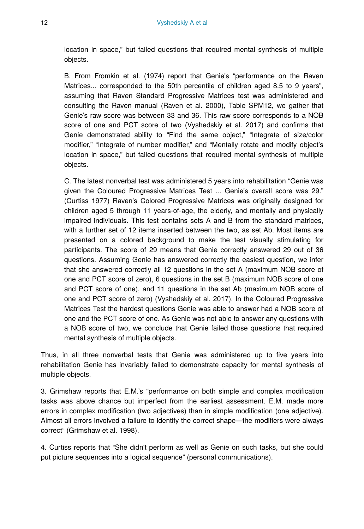location in space," but failed questions that required mental synthesis of multiple objects.

B. From Fromkin et al. (1974) report that Genie's "performance on the Raven Matrices... corresponded to the 50th percentile of children aged 8.5 to 9 years", assuming that Raven Standard Progressive Matrices test was administered and consulting the Raven manual (Raven et al. 2000), Table SPM12, we gather that Genie's raw score was between 33 and 36. This raw score corresponds to a NOB score of one and PCT score of two (Vyshedskiy et al. 2017) and confirms that Genie demonstrated ability to "Find the same object," "Integrate of size/color modifier," "Integrate of number modifier," and "Mentally rotate and modify object's location in space," but failed questions that required mental synthesis of multiple objects.

C. The latest nonverbal test was administered 5 years into rehabilitation "Genie was given the Coloured Progressive Matrices Test ... Genie's overall score was 29." (Curtiss 1977) Raven's Colored Progressive Matrices was originally designed for children aged 5 through 11 years-of-age, the elderly, and mentally and physically impaired individuals. This test contains sets A and B from the standard matrices, with a further set of 12 items inserted between the two, as set Ab. Most items are presented on a colored background to make the test visually stimulating for participants. The score of 29 means that Genie correctly answered 29 out of 36 questions. Assuming Genie has answered correctly the easiest question, we infer that she answered correctly all 12 questions in the set A (maximum NOB score of one and PCT score of zero), 6 questions in the set B (maximum NOB score of one and PCT score of one), and 11 questions in the set Ab (maximum NOB score of one and PCT score of zero) (Vyshedskiy et al. 2017). In the Coloured Progressive Matrices Test the hardest questions Genie was able to answer had a NOB score of one and the PCT score of one. As Genie was not able to answer any questions with a NOB score of two, we conclude that Genie failed those questions that required mental synthesis of multiple objects.

Thus, in all three nonverbal tests that Genie was administered up to five years into rehabilitation Genie has invariably failed to demonstrate capacity for mental synthesis of multiple objects.

3. Grimshaw reports that E.M.'s "performance on both simple and complex modification tasks was above chance but imperfect from the earliest assessment. E.M. made more errors in complex modification (two adjectives) than in simple modification (one adjective). Almost all errors involved a failure to identify the correct shape—the modifiers were always correct" (Grimshaw et al. 1998).

4. Curtiss reports that "She didn't perform as well as Genie on such tasks, but she could put picture sequences into a logical sequence" (personal communications).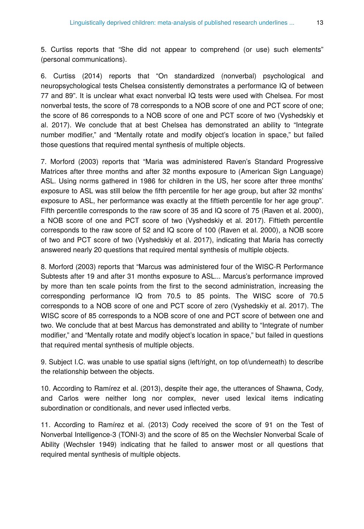5. Curtiss reports that "She did not appear to comprehend (or use) such elements" (personal communications).

6. Curtiss (2014) reports that "On standardized (nonverbal) psychological and neuropsychological tests Chelsea consistently demonstrates a performance IQ of between 77 and 89". It is unclear what exact nonverbal IQ tests were used with Chelsea. For most nonverbal tests, the score of 78 corresponds to a NOB score of one and PCT score of one; the score of 86 corresponds to a NOB score of one and PCT score of two (Vyshedskiy et al. 2017). We conclude that at best Chelsea has demonstrated an ability to "Integrate number modifier," and "Mentally rotate and modify object's location in space," but failed those questions that required mental synthesis of multiple objects.

7. Morford (2003) reports that "Maria was administered Raven's Standard Progressive Matrices after three months and after 32 months exposure to (American Sign Language) ASL. Using norms gathered in 1986 for children in the US, her score after three months' exposure to ASL was still below the fifth percentile for her age group, but after 32 months' exposure to ASL, her performance was exactly at the fiftieth percentile for her age group". Fifth percentile corresponds to the raw score of 35 and IQ score of 75 (Raven et al. 2000), a NOB score of one and PCT score of two (Vyshedskiy et al. 2017). Fiftieth percentile corresponds to the raw score of 52 and IQ score of 100 (Raven et al. 2000), a NOB score of two and PCT score of two (Vyshedskiy et al. 2017), indicating that Maria has correctly answered nearly 20 questions that required mental synthesis of multiple objects.

8. Morford (2003) reports that "Marcus was administered four of the WISC-R Performance Subtests after 19 and after 31 months exposure to ASL... Marcus's performance improved by more than ten scale points from the first to the second administration, increasing the corresponding performance IQ from 70.5 to 85 points. The WISC score of 70.5 corresponds to a NOB score of one and PCT score of zero (Vyshedskiy et al. 2017). The WISC score of 85 corresponds to a NOB score of one and PCT score of between one and two. We conclude that at best Marcus has demonstrated and ability to "Integrate of number modifier," and "Mentally rotate and modify object's location in space," but failed in questions that required mental synthesis of multiple objects.

9. Subject I.C. was unable to use spatial signs (left/right, on top of/underneath) to describe the relationship between the objects.

10. According to Ramírez et al. (2013), despite their age, the utterances of Shawna, Cody, and Carlos were neither long nor complex, never used lexical items indicating subordination or conditionals, and never used inflected verbs.

11. According to Ramírez et al. (2013) Cody received the score of 91 on the Test of Nonverbal Intelligence-3 (TONI-3) and the score of 85 on the Wechsler Nonverbal Scale of Ability (Wechsler 1949) indicating that he failed to answer most or all questions that required mental synthesis of multiple objects.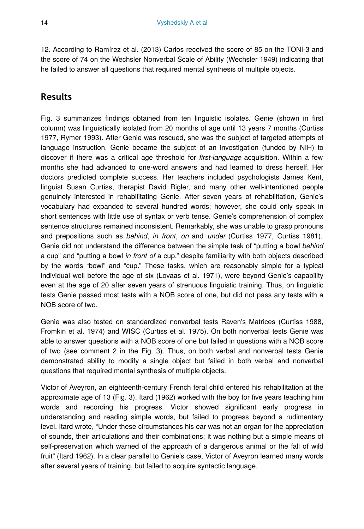12. According to Ramírez et al. (2013) Carlos received the score of 85 on the TONI-3 and the score of 74 on the Wechsler Nonverbal Scale of Ability (Wechsler 1949) indicating that he failed to answer all questions that required mental synthesis of multiple objects.

# **Results**

Fig. 3 summarizes findings obtained from ten linguistic isolates. Genie (shown in first column) was linguistically isolated from 20 months of age until 13 years 7 months (Curtiss 1977, Rymer 1993). After Genie was rescued, she was the subject of targeted attempts of language instruction. Genie became the subject of an investigation (funded by NIH) to discover if there was a critical age threshold for *first-language* acquisition. Within a few months she had advanced to one-word answers and had learned to dress herself. Her doctors predicted complete success. Her teachers included psychologists James Kent, linguist Susan Curtiss, therapist David Rigler, and many other well-intentioned people genuinely interested in rehabilitating Genie. After seven years of rehabilitation, Genie's vocabulary had expanded to several hundred words; however, she could only speak in short sentences with little use of syntax or verb tense. Genie's comprehension of complex sentence structures remained inconsistent. Remarkably, she was unable to grasp pronouns and prepositions such as *behind*, *in front*, *on* and *under* (Curtiss 1977, Curtiss 1981). Genie did not understand the difference between the simple task of "putting a bowl *behind* a cup" and "putting a bowl *in front of* a cup," despite familiarity with both objects described by the words "bowl" and "cup." These tasks, which are reasonably simple for a typical individual well before the age of six (Lovaas et al. 1971), were beyond Genie's capability even at the age of 20 after seven years of strenuous linguistic training. Thus, on linguistic tests Genie passed most tests with a NOB score of one, but did not pass any tests with a NOB score of two.

Genie was also tested on standardized nonverbal tests Raven's Matrices (Curtiss 1988, Fromkin et al. 1974) and WISC (Curtiss et al. 1975). On both nonverbal tests Genie was able to answer questions with a NOB score of one but failed in questions with a NOB score of two (see comment 2 in the Fig. 3). Thus, on both verbal and nonverbal tests Genie demonstrated ability to modify a single object but failed in both verbal and nonverbal questions that required mental synthesis of multiple objects.

Victor of Aveyron, an eighteenth-century French feral child entered his rehabilitation at the approximate age of 13 (Fig. 3). Itard (1962) worked with the boy for five years teaching him words and recording his progress. Victor showed significant early progress in understanding and reading simple words, but failed to progress beyond a rudimentary level. Itard wrote, "Under these circumstances his ear was not an organ for the appreciation of sounds, their articulations and their combinations; it was nothing but a simple means of self-preservation which warned of the approach of a dangerous animal or the fall of wild fruit" (Itard 1962). In a clear parallel to Genie's case, Victor of Aveyron learned many words after several years of training, but failed to acquire syntactic language.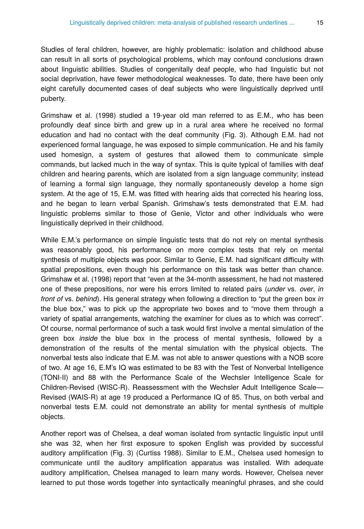Studies of feral children, however, are highly problematic: isolation and childhood abuse can result in all sorts of psychological problems, which may confound conclusions drawn about linguistic abilities. Studies of congenitally deaf people, who had linguistic but not social deprivation, have fewer methodological weaknesses. To date, there have been only eight carefully documented cases of deaf subjects who were linguistically deprived until puberty.

Grimshaw et al. (1998) studied a 19-year old man referred to as E.M., who has been profoundly deaf since birth and grew up in a rural area where he received no formal education and had no contact with the deaf community (Fig. 3). Although E.M. had not experienced formal language, he was exposed to simple communication. He and his family used homesign, a system of gestures that allowed them to communicate simple commands, but lacked much in the way of syntax. This is quite typical of families with deaf children and hearing parents, which are isolated from a sign language community; instead of learning a formal sign language, they normally spontaneously develop a home sign system. At the age of 15, E.M. was fitted with hearing aids that corrected his hearing loss, and he began to learn verbal Spanish. Grimshaw's tests demonstrated that E.M. had linguistic problems similar to those of Genie, Victor and other individuals who were linguistically deprived in their childhood.

While E.M.'s performance on simple linguistic tests that do not rely on mental synthesis was reasonably good, his performance on more complex tests that rely on mental synthesis of multiple objects was poor. Similar to Genie, E.M. had significant difficulty with spatial prepositions, even though his performance on this task was better than chance. Grimshaw et al. (1998) report that "even at the 34-month assessment, he had not mastered one of these prepositions, nor were his errors limited to related pairs (*under* vs. *over*, *in front of* vs. *behind*). His general strategy when following a direction to "put the green box *in* the blue box," was to pick up the appropriate two boxes and to "move them through a variety of spatial arrangements, watching the examiner for clues as to which was correct". Of course, normal performance of such a task would first involve a mental simulation of the green box *inside* the blue box in the process of mental synthesis, followed by a demonstration of the results of the mental simulation with the physical objects. The nonverbal tests also indicate that E.M. was not able to answer questions with a NOB score of two. At age 16, E.M's IQ was estimated to be 83 with the Test of Nonverbal Intelligence (TONI-II) and 88 with the Performance Scale of the Wechsler Intelligence Scale for Children-Revised (WISC-R). Reassessment with the Wechsler Adult Intelligence Scale— Revised (WAIS-R) at age 19 produced a Performance IQ of 85. Thus, on both verbal and nonverbal tests E.M. could not demonstrate an ability for mental synthesis of multiple objects.

Another report was of Chelsea, a deaf woman isolated from syntactic linguistic input until she was 32, when her first exposure to spoken English was provided by successful auditory amplification (Fig. 3) (Curtiss 1988). Similar to E.M., Chelsea used homesign to communicate until the auditory amplification apparatus was installed. With adequate auditory amplification, Chelsea managed to learn many words. However, Chelsea never learned to put those words together into syntactically meaningful phrases, and she could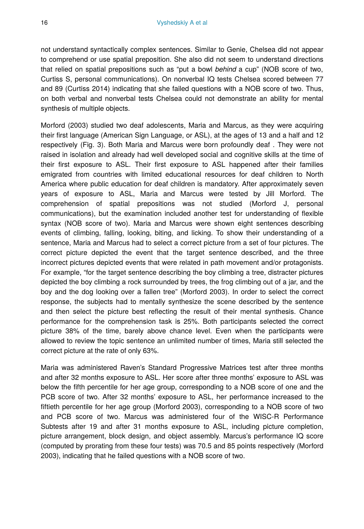not understand syntactically complex sentences. Similar to Genie, Chelsea did not appear to comprehend or use spatial preposition. She also did not seem to understand directions that relied on spatial prepositions such as "put a bowl *behind* a cup" (NOB score of two, Curtiss S, personal communications). On nonverbal IQ tests Chelsea scored between 77 and 89 (Curtiss 2014) indicating that she failed questions with a NOB score of two. Thus, on both verbal and nonverbal tests Chelsea could not demonstrate an ability for mental synthesis of multiple objects.

Morford (2003) studied two deaf adolescents, Maria and Marcus, as they were acquiring their first language (American Sign Language, or ASL), at the ages of 13 and a half and 12 respectively (Fig. 3). Both Maria and Marcus were born profoundly deaf . They were not raised in isolation and already had well developed social and cognitive skills at the time of their first exposure to ASL. Their first exposure to ASL happened after their families emigrated from countries with limited educational resources for deaf children to North America where public education for deaf children is mandatory. After approximately seven years of exposure to ASL, Maria and Marcus were tested by Jill Morford. The comprehension of spatial prepositions was not studied (Morford J, personal communications), but the examination included another test for understanding of flexible syntax (NOB score of two). Maria and Marcus were shown eight sentences describing events of climbing, falling, looking, biting, and licking. To show their understanding of a sentence, Maria and Marcus had to select a correct picture from a set of four pictures. The correct picture depicted the event that the target sentence described, and the three incorrect pictures depicted events that were related in path movement and/or protagonists. For example, "for the target sentence describing the boy climbing a tree, distracter pictures depicted the boy climbing a rock surrounded by trees, the frog climbing out of a jar, and the boy and the dog looking over a fallen tree" (Morford 2003). In order to select the correct response, the subjects had to mentally synthesize the scene described by the sentence and then select the picture best reflecting the result of their mental synthesis. Chance performance for the comprehension task is 25%. Both participants selected the correct picture 38% of the time, barely above chance level. Even when the participants were allowed to review the topic sentence an unlimited number of times, Maria still selected the correct picture at the rate of only 63%.

Maria was administered Raven's Standard Progressive Matrices test after three months and after 32 months exposure to ASL. Her score after three months' exposure to ASL was below the fifth percentile for her age group, corresponding to a NOB score of one and the PCB score of two. After 32 months' exposure to ASL, her performance increased to the fiftieth percentile for her age group (Morford 2003), corresponding to a NOB score of two and PCB score of two. Marcus was administered four of the WISC-R Performance Subtests after 19 and after 31 months exposure to ASL, including picture completion, picture arrangement, block design, and object assembly. Marcus's performance IQ score (computed by prorating from these four tests) was 70.5 and 85 points respectively (Morford 2003), indicating that he failed questions with a NOB score of two.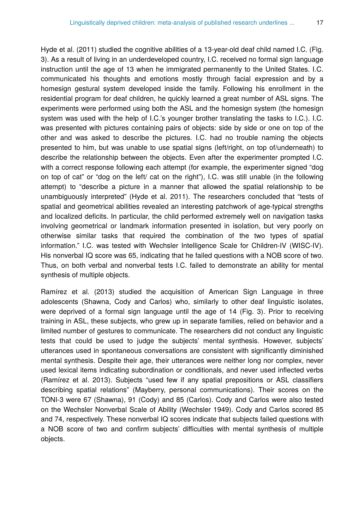Hyde et al. (2011) studied the cognitive abilities of a 13-year-old deaf child named I.C. (Fig. 3). As a result of living in an underdeveloped country, I.C. received no formal sign language instruction until the age of 13 when he immigrated permanently to the United States. I.C. communicated his thoughts and emotions mostly through facial expression and by a homesign gestural system developed inside the family. Following his enrollment in the residential program for deaf children, he quickly learned a great number of ASL signs. The experiments were performed using both the ASL and the homesign system (the homesign system was used with the help of I.C.'s younger brother translating the tasks to I.C.). I.C. was presented with pictures containing pairs of objects: side by side or one on top of the other and was asked to describe the pictures. I.C. had no trouble naming the objects presented to him, but was unable to use spatial signs (left/right, on top of/underneath) to describe the relationship between the objects. Even after the experimenter prompted I.C. with a correct response following each attempt (for example, the experimenter signed "dog on top of cat" or "dog on the left/ cat on the right"), I.C. was still unable (in the following attempt) to "describe a picture in a manner that allowed the spatial relationship to be unambiguously interpreted" (Hyde et al. 2011). The researchers concluded that "tests of spatial and geometrical abilities revealed an interesting patchwork of age-typical strengths and localized deficits. In particular, the child performed extremely well on navigation tasks involving geometrical or landmark information presented in isolation, but very poorly on otherwise similar tasks that required the combination of the two types of spatial information." I.C. was tested with Wechsler Intelligence Scale for Children-IV (WISC-IV). His nonverbal IQ score was 65, indicating that he failed questions with a NOB score of two. Thus, on both verbal and nonverbal tests I.C. failed to demonstrate an ability for mental synthesis of multiple objects.

Ramírez et al. (2013) studied the acquisition of American Sign Language in three adolescents (Shawna, Cody and Carlos) who, similarly to other deaf linguistic isolates, were deprived of a formal sign language until the age of 14 (Fig. 3). Prior to receiving training in ASL, these subjects, who grew up in separate families, relied on behavior and a limited number of gestures to communicate. The researchers did not conduct any linguistic tests that could be used to judge the subjects' mental synthesis. However, subjects' utterances used in spontaneous conversations are consistent with significantly diminished mental synthesis. Despite their age, their utterances were neither long nor complex, never used lexical items indicating subordination or conditionals, and never used inflected verbs (Ramírez et al. 2013). Subjects "used few if any spatial prepositions or ASL classifiers describing spatial relations" (Mayberry, personal communications). Their scores on the TONI-3 were 67 (Shawna), 91 (Cody) and 85 (Carlos). Cody and Carlos were also tested on the Wechsler Nonverbal Scale of Ability (Wechsler 1949). Cody and Carlos scored 85 and 74, respectively. These nonverbal IQ scores indicate that subjects failed questions with a NOB score of two and confirm subjects' difficulties with mental synthesis of multiple objects.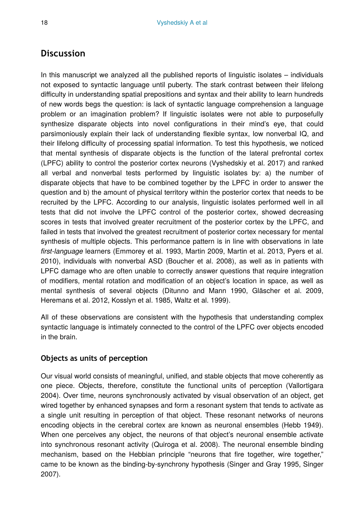# **Discussion**

In this manuscript we analyzed all the published reports of linguistic isolates – individuals not exposed to syntactic language until puberty. The stark contrast between their lifelong difficulty in understanding spatial prepositions and syntax and their ability to learn hundreds of new words begs the question: is lack of syntactic language comprehension a language problem or an imagination problem? If linguistic isolates were not able to purposefully synthesize disparate objects into novel configurations in their mind's eye, that could parsimoniously explain their lack of understanding flexible syntax, low nonverbal IQ, and their lifelong difficulty of processing spatial information. To test this hypothesis, we noticed that mental synthesis of disparate objects is the function of the lateral prefrontal cortex (LPFC) ability to control the posterior cortex neurons (Vyshedskiy et al. 2017) and ranked all verbal and nonverbal tests performed by linguistic isolates by: a) the number of disparate objects that have to be combined together by the LPFC in order to answer the question and b) the amount of physical territory within the posterior cortex that needs to be recruited by the LPFC. According to our analysis, linguistic isolates performed well in all tests that did not involve the LPFC control of the posterior cortex, showed decreasing scores in tests that involved greater recruitment of the posterior cortex by the LPFC, and failed in tests that involved the greatest recruitment of posterior cortex necessary for mental synthesis of multiple objects. This performance pattern is in line with observations in late *first-language* learners (Emmorey et al. 1993, Martin 2009, Martin et al. 2013, Pyers et al. 2010), individuals with nonverbal ASD (Boucher et al. 2008), as well as in patients with LPFC damage who are often unable to correctly answer questions that require integration of modifiers, mental rotation and modification of an object's location in space, as well as mental synthesis of several objects (Ditunno and Mann 1990, Gläscher et al. 2009, Heremans et al. 2012, Kosslyn et al. 1985, Waltz et al. 1999).

All of these observations are consistent with the hypothesis that understanding complex syntactic language is intimately connected to the control of the LPFC over objects encoded in the brain.

## **Objects as units of perception**

Our visual world consists of meaningful, unified, and stable objects that move coherently as one piece. Objects, therefore, constitute the functional units of perception (Vallortigara 2004). Over time, neurons synchronously activated by visual observation of an object, get wired together by enhanced synapses and form a resonant system that tends to activate as a single unit resulting in perception of that object. These resonant networks of neurons encoding objects in the cerebral cortex are known as neuronal ensembles (Hebb 1949). When one perceives any object, the neurons of that object's neuronal ensemble activate into synchronous resonant activity (Quiroga et al. 2008). The neuronal ensemble binding mechanism, based on the Hebbian principle "neurons that fire together, wire together," came to be known as the binding-by-synchrony hypothesis (Singer and Gray 1995, Singer 2007).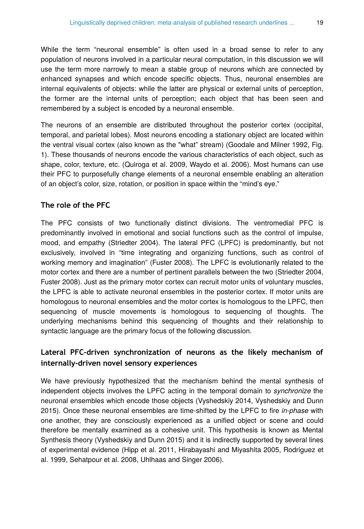While the term "neuronal ensemble" is often used in a broad sense to refer to any population of neurons involved in a particular neural computation, in this discussion we will use the term more narrowly to mean a stable group of neurons which are connected by enhanced synapses and which encode specific objects. Thus, neuronal ensembles are internal equivalents of objects: while the latter are physical or external units of perception, the former are the internal units of perception; each object that has been seen and remembered by a subject is encoded by a neuronal ensemble.

The neurons of an ensemble are distributed throughout the posterior cortex (occipital, temporal, and parietal lobes). Most neurons encoding a stationary object are located within the ventral visual cortex (also known as the "what" stream) (Goodale and Milner 1992, Fig. 1). These thousands of neurons encode the various characteristics of each object, such as shape, color, texture, etc. (Quiroga et al. 2009, Waydo et al. 2006). Most humans can use their PFC to purposefully change elements of a neuronal ensemble enabling an alteration of an object's color, size, rotation, or position in space within the "mind's eye."

#### **The role of the PFC**

The PFC consists of two functionally distinct divisions. The ventromedial PFC is predominantly involved in emotional and social functions such as the control of impulse, mood, and empathy (Striedter 2004). The lateral PFC (LPFC) is predominantly, but not exclusively, involved in "time integrating and organizing functions, such as control of working memory and imagination" (Fuster 2008). The LPFC is evolutionarily related to the motor cortex and there are a number of pertinent parallels between the two (Striedter 2004, Fuster 2008). Just as the primary motor cortex can recruit motor units of voluntary muscles, the LPFC is able to activate neuronal ensembles in the posterior cortex. If motor units are homologous to neuronal ensembles and the motor cortex is homologous to the LPFC, then sequencing of muscle movements is homologous to sequencing of thoughts. The underlying mechanisms behind this sequencing of thoughts and their relationship to syntactic language are the primary focus of the following discussion.

## **Lateral PFC-driven synchronization of neurons as the likely mechanism of internally-driven novel sensory experiences**

We have previously hypothesized that the mechanism behind the mental synthesis of independent objects involves the LPFC acting in the temporal domain to *synchronize* the neuronal ensembles which encode those objects (Vyshedskiy 2014, Vyshedskiy and Dunn 2015). Once these neuronal ensembles are time-shifted by the LPFC to fire *in-phase* with one another, they are consciously experienced as a unified object or scene and could therefore be mentally examined as a cohesive unit. This hypothesis is known as Mental Synthesis theory (Vyshedskiy and Dunn 2015) and it is indirectly supported by several lines of experimental evidence (Hipp et al. 2011, Hirabayashi and Miyashita 2005, Rodriguez et al. 1999, Sehatpour et al. 2008, Uhlhaas and Singer 2006).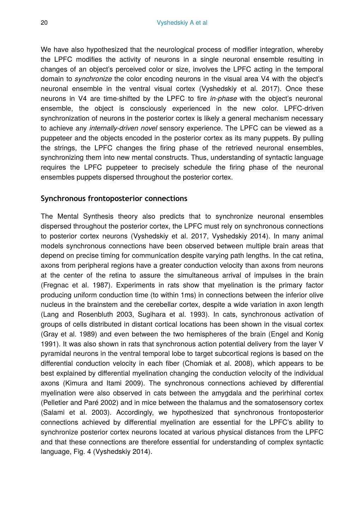We have also hypothesized that the neurological process of modifier integration, whereby the LPFC modifies the activity of neurons in a single neuronal ensemble resulting in changes of an object's perceived color or size, involves the LPFC acting in the temporal domain to *synchronize* the color encoding neurons in the visual area V4 with the object's neuronal ensemble in the ventral visual cortex (Vyshedskiy et al. 2017). Once these neurons in V4 are time-shifted by the LPFC to fire *in-phase* with the object's neuronal ensemble, the object is consciously experienced in the new color. LPFC-driven synchronization of neurons in the posterior cortex is likely a general mechanism necessary to achieve any *internally-driven novel* sensory experience. The LPFC can be viewed as a puppeteer and the objects encoded in the posterior cortex as its many puppets. By pulling the strings, the LPFC changes the firing phase of the retrieved neuronal ensembles, synchronizing them into new mental constructs. Thus, understanding of syntactic language requires the LPFC puppeteer to precisely schedule the firing phase of the neuronal ensembles puppets dispersed throughout the posterior cortex.

### **Synchronous frontoposterior connections**

The Mental Synthesis theory also predicts that to synchronize neuronal ensembles dispersed throughout the posterior cortex, the LPFC must rely on synchronous connections to posterior cortex neurons (Vyshedskiy et al. 2017, Vyshedskiy 2014). In many animal models synchronous connections have been observed between multiple brain areas that depend on precise timing for communication despite varying path lengths. In the cat retina, axons from peripheral regions have a greater conduction velocity than axons from neurons at the center of the retina to assure the simultaneous arrival of impulses in the brain (Fregnac et al. 1987). Experiments in rats show that myelination is the primary factor producing uniform conduction time (to within 1ms) in connections between the inferior olive nucleus in the brainstem and the cerebellar cortex, despite a wide variation in axon length (Lang and Rosenbluth 2003, Sugihara et al. 1993). In cats, synchronous activation of groups of cells distributed in distant cortical locations has been shown in the visual cortex (Gray et al. 1989) and even between the two hemispheres of the brain (Engel and Konig 1991). It was also shown in rats that synchronous action potential delivery from the layer V pyramidal neurons in the ventral temporal lobe to target subcortical regions is based on the differential conduction velocity in each fiber (Chomiak et al. 2008), which appears to be best explained by differential myelination changing the conduction velocity of the individual axons (Kimura and Itami 2009). The synchronous connections achieved by differential myelination were also observed in cats between the amygdala and the perirhinal cortex (Pelletier and Paré 2002) and in mice between the thalamus and the somatosensory cortex (Salami et al. 2003). Accordingly, we hypothesized that synchronous frontoposterior connections achieved by differential myelination are essential for the LPFC's ability to synchronize posterior cortex neurons located at various physical distances from the LPFC and that these connections are therefore essential for understanding of complex syntactic language, Fig. 4 (Vyshedskiy 2014).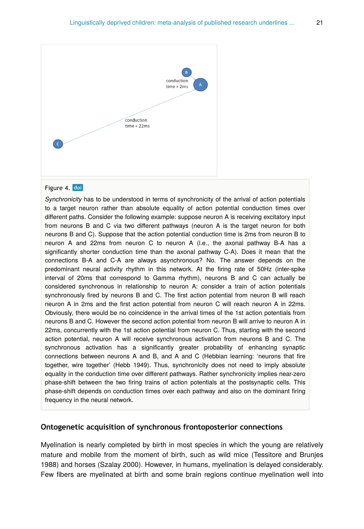

#### Figure 4. doi

*Synchronicity* has to be understood in terms of synchronicity of the arrival of action potentials to a target neuron rather than absolute equality of action potential conduction times over different paths. Consider the following example: suppose neuron A is receiving excitatory input from neurons B and C via two different pathways (neuron A is the target neuron for both neurons B and C). Suppose that the action potential conduction time is 2ms from neuron B to neuron A and 22ms from neuron C to neuron A (i.e., the axonal pathway B-A has a significantly shorter conduction time than the axonal pathway C-A). Does it mean that the connections B-A and C-A are always asynchronous? No. The answer depends on the predominant neural activity rhythm in this network. At the firing rate of 50Hz (inter-spike interval of 20ms that correspond to Gamma rhythm), neurons B and C can actually be considered synchronous in relationship to neuron A: consider a train of action potentials synchronously fired by neurons B and C. The first action potential from neuron B will reach neuron A in 2ms and the first action potential from neuron C will reach neuron A in 22ms. Obviously, there would be no coincidence in the arrival times of the 1st action potentials from neurons B and C. However the second action potential from neuron B will arrive to neuron A in 22ms, concurrently with the 1st action potential from neuron C. Thus, starting with the second action potential, neuron A will receive synchronous activation from neurons B and C. The synchronous activation has a significantly greater probability of enhancing synaptic connections between neurons A and B, and A and C (Hebbian learning: 'neurons that fire together, wire together' (Hebb 1949). Thus, synchronicity does not need to imply absolute equality in the conduction time over different pathways. Rather synchronicity implies near-zero phase-shift between the two firing trains of action potentials at the postsynaptic cells. This phase-shift depends on conduction times over each pathway and also on the dominant firing frequency in the neural network.

#### **Ontogenetic acquisition of synchronous frontoposterior connections**

Myelination is nearly completed by birth in most species in which the young are relatively mature and mobile from the moment of birth, such as wild mice (Tessitore and Brunjes 1988) and horses (Szalay 2000). However, in humans, myelination is delayed considerably. Few fibers are myelinated at birth and some brain regions continue myelination well into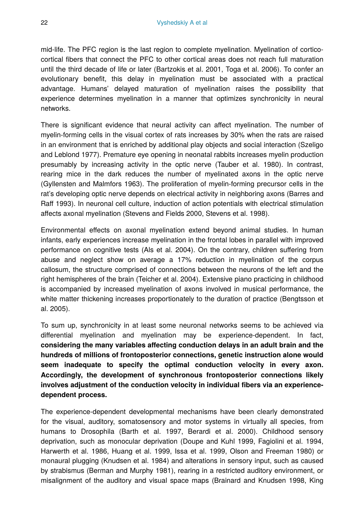mid-life. The PFC region is the last region to complete myelination. Myelination of corticocortical fibers that connect the PFC to other cortical areas does not reach full maturation until the third decade of life or later (Bartzokis et al. 2001, Toga et al. 2006). To confer an evolutionary benefit, this delay in myelination must be associated with a practical advantage. Humans' delayed maturation of myelination raises the possibility that experience determines myelination in a manner that optimizes synchronicity in neural networks.

There is significant evidence that neural activity can affect myelination. The number of myelin-forming cells in the visual cortex of rats increases by 30% when the rats are raised in an environment that is enriched by additional play objects and social interaction (Szeligo and Leblond 1977). Premature eye opening in neonatal rabbits increases myelin production presumably by increasing activity in the optic nerve (Tauber et al. 1980). In contrast, rearing mice in the dark reduces the number of myelinated axons in the optic nerve (Gyllensten and Malmfors 1963). The proliferation of myelin-forming precursor cells in the rat's developing optic nerve depends on electrical activity in neighboring axons (Barres and Raff 1993). In neuronal cell culture, induction of action potentials with electrical stimulation affects axonal myelination (Stevens and Fields 2000, Stevens et al. 1998).

Environmental effects on axonal myelination extend beyond animal studies. In human infants, early experiences increase myelination in the frontal lobes in parallel with improved performance on cognitive tests (Als et al. 2004). On the contrary, children suffering from abuse and neglect show on average a 17% reduction in myelination of the corpus callosum, the structure comprised of connections between the neurons of the left and the right hemispheres of the brain (Teicher et al. 2004). Extensive piano practicing in childhood is accompanied by increased myelination of axons involved in musical performance, the white matter thickening increases proportionately to the duration of practice (Bengtsson et al. 2005).

To sum up, synchronicity in at least some neuronal networks seems to be achieved via differential myelination and myelination may be experience-dependent. In fact, **considering the many variables affecting conduction delays in an adult brain and the hundreds of millions of frontoposterior connections, genetic instruction alone would seem inadequate to specify the optimal conduction velocity in every axon. Accordingly, the development of synchronous frontoposterior connections likely involves adjustment of the conduction velocity in individual fibers via an experiencedependent process.**

The experience-dependent developmental mechanisms have been clearly demonstrated for the visual, auditory, somatosensory and motor systems in virtually all species, from humans to Drosophila (Barth et al. 1997, Berardi et al. 2000). Childhood sensory deprivation, such as monocular deprivation (Doupe and Kuhl 1999, Fagiolini et al. 1994, Harwerth et al. 1986, Huang et al. 1999, Issa et al. 1999, Olson and Freeman 1980) or monaural plugging (Knudsen et al. 1984) and alterations in sensory input, such as caused by strabismus (Berman and Murphy 1981), rearing in a restricted auditory environment, or misalignment of the auditory and visual space maps (Brainard and Knudsen 1998, King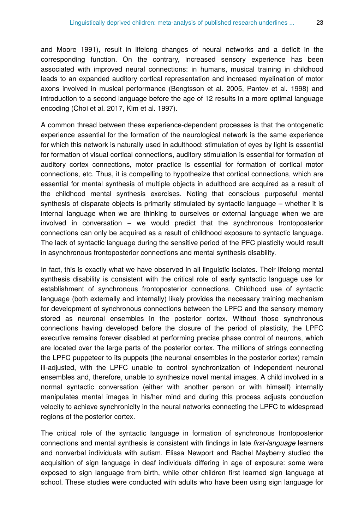and Moore 1991), result in lifelong changes of neural networks and a deficit in the corresponding function. On the contrary, increased sensory experience has been associated with improved neural connections: in humans, musical training in childhood leads to an expanded auditory cortical representation and increased myelination of motor axons involved in musical performance (Bengtsson et al. 2005, Pantev et al. 1998) and introduction to a second language before the age of 12 results in a more optimal language encoding (Choi et al. 2017, Kim et al. 1997).

A common thread between these experience-dependent processes is that the ontogenetic experience essential for the formation of the neurological network is the same experience for which this network is naturally used in adulthood: stimulation of eyes by light is essential for formation of visual cortical connections, auditory stimulation is essential for formation of auditory cortex connections, motor practice is essential for formation of cortical motor connections, etc. Thus, it is compelling to hypothesize that cortical connections, which are essential for mental synthesis of multiple objects in adulthood are acquired as a result of the childhood mental synthesis exercises. Noting that conscious purposeful mental synthesis of disparate objects is primarily stimulated by syntactic language – whether it is internal language when we are thinking to ourselves or external language when we are involved in conversation – we would predict that the synchronous frontoposterior connections can only be acquired as a result of childhood exposure to syntactic language. The lack of syntactic language during the sensitive period of the PFC plasticity would result in asynchronous frontoposterior connections and mental synthesis disability.

In fact, this is exactly what we have observed in all linguistic isolates. Their lifelong mental synthesis disability is consistent with the critical role of early syntactic language use for establishment of synchronous frontoposterior connections. Childhood use of syntactic language (both externally and internally) likely provides the necessary training mechanism for development of synchronous connections between the LPFC and the sensory memory stored as neuronal ensembles in the posterior cortex. Without those synchronous connections having developed before the closure of the period of plasticity, the LPFC executive remains forever disabled at performing precise phase control of neurons, which are located over the large parts of the posterior cortex. The millions of strings connecting the LPFC puppeteer to its puppets (the neuronal ensembles in the posterior cortex) remain ill-adjusted, with the LPFC unable to control synchronization of independent neuronal ensembles and, therefore, unable to synthesize novel mental images. A child involved in a normal syntactic conversation (either with another person or with himself) internally manipulates mental images in his/her mind and during this process adjusts conduction velocity to achieve synchronicity in the neural networks connecting the LPFC to widespread regions of the posterior cortex.

The critical role of the syntactic language in formation of synchronous frontoposterior connections and mental synthesis is consistent with findings in late *first-language* learners and nonverbal individuals with autism. Elissa Newport and Rachel Mayberry studied the acquisition of sign language in deaf individuals differing in age of exposure: some were exposed to sign language from birth, while other children first learned sign language at school. These studies were conducted with adults who have been using sign language for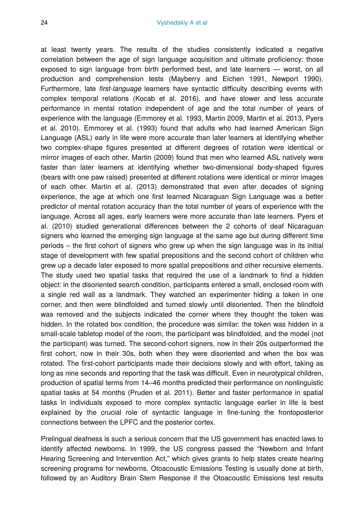at least twenty years. The results of the studies consistently indicated a negative correlation between the age of sign language acquisition and ultimate proficiency: those exposed to sign language from birth performed best, and late learners — worst, on all production and comprehension tests (Mayberry and Eichen 1991, Newport 1990). Furthermore, late *first-language* learners have syntactic difficulty describing events with complex temporal relations (Kocab et al. 2016), and have slower and less accurate performance in mental rotation independent of age and the total number of years of experience with the language (Emmorey et al. 1993, Martin 2009, Martin et al. 2013, Pyers et al. 2010). Emmorey et al. (1993) found that adults who had learned American Sign Language (ASL) early in life were more accurate than later learners at identifying whether two complex-shape figures presented at different degrees of rotation were identical or mirror images of each other. Martin (2009) found that men who learned ASL natively were faster than later learners at identifying whether two-dimensional body-shaped figures (bears with one paw raised) presented at different rotations were identical or mirror images of each other. Martin et al. (2013) demonstrated that even after decades of signing experience, the age at which one first learned Nicaraguan Sign Language was a better predictor of mental rotation accuracy than the total number of years of experience with the language. Across all ages, early learners were more accurate than late learners. Pyers et al. (2010) studied generational differences between the 2 cohorts of deaf Nicaraguan signers who learned the emerging sign language at the same age but during different time periods – the first cohort of signers who grew up when the sign language was in its initial stage of development with few spatial prepositions and the second cohort of children who grew up a decade later exposed to more spatial prepositions and other recursive elements. The study used two spatial tasks that required the use of a landmark to find a hidden object: in the disoriented search condition, participants entered a small, enclosed room with a single red wall as a landmark. They watched an experimenter hiding a token in one corner, and then were blindfolded and turned slowly until disoriented. Then the blindfold was removed and the subjects indicated the corner where they thought the token was hidden. In the rotated box condition, the procedure was similar: the token was hidden in a small-scale tabletop model of the room, the participant was blindfolded, and the model (not the participant) was turned. The second-cohort signers, now in their 20s outperformed the first cohort, now in their 30s, both when they were disoriented and when the box was rotated. The first-cohort participants made their decisions slowly and with effort, taking as long as nine seconds and reporting that the task was difficult. Even in neurotypical children, production of spatial terms from 14–46 months predicted their performance on nonlinguistic spatial tasks at 54 months (Pruden et al. 2011). Better and faster performance in spatial tasks in individuals exposed to more complex syntactic language earlier in life is best explained by the crucial role of syntactic language in fine-tuning the frontoposterior connections between the LPFC and the posterior cortex.

Prelingual deafness is such a serious concern that the US government has enacted laws to identify affected newborns. In 1999, the US congress passed the "Newborn and Infant Hearing Screening and Intervention Act," which gives grants to help states create hearing screening programs for newborns. Otoacoustic Emissions Testing is usually done at birth, followed by an Auditory Brain Stem Response if the Otoacoustic Emissions test results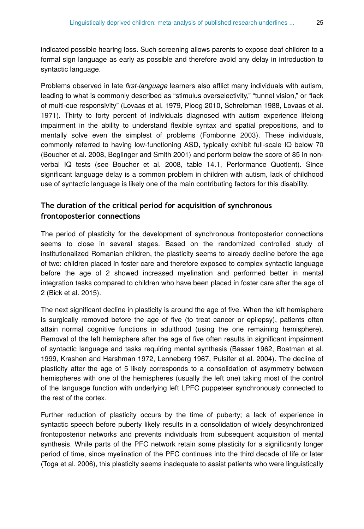indicated possible hearing loss. Such screening allows parents to expose deaf children to a formal sign language as early as possible and therefore avoid any delay in introduction to syntactic language.

Problems observed in late *first-language* learners also afflict many individuals with autism, leading to what is commonly described as "stimulus overselectivity," "tunnel vision," or "lack of multi-cue responsivity" (Lovaas et al. 1979, Ploog 2010, Schreibman 1988, Lovaas et al. 1971). Thirty to forty percent of individuals diagnosed with autism experience lifelong impairment in the ability to understand flexible syntax and spatial prepositions, and to mentally solve even the simplest of problems (Fombonne 2003). These individuals, commonly referred to having low-functioning ASD, typically exhibit full-scale IQ below 70 (Boucher et al. 2008, Beglinger and Smith 2001) and perform below the score of 85 in nonverbal IQ tests (see Boucher et al. 2008, table 14.1, Performance Quotient). Since significant language delay is a common problem in children with autism, lack of childhood use of syntactic language is likely one of the main contributing factors for this disability.

## **The duration of the critical period for acquisition of synchronous frontoposterior connections**

The period of plasticity for the development of synchronous frontoposterior connections seems to close in several stages. Based on the randomized controlled study of institutionalized Romanian children, the plasticity seems to already decline before the age of two: children placed in foster care and therefore exposed to complex syntactic language before the age of 2 showed increased myelination and performed better in mental integration tasks compared to children who have been placed in foster care after the age of 2 (Bick et al. 2015).

The next significant decline in plasticity is around the age of five. When the left hemisphere is surgically removed before the age of five (to treat cancer or epilepsy), patients often attain normal cognitive functions in adulthood (using the one remaining hemisphere). Removal of the left hemisphere after the age of five often results in significant impairment of syntactic language and tasks requiring mental synthesis (Basser 1962, Boatman et al. 1999, Krashen and Harshman 1972, Lenneberg 1967, Pulsifer et al. 2004). The decline of plasticity after the age of 5 likely corresponds to a consolidation of asymmetry between hemispheres with one of the hemispheres (usually the left one) taking most of the control of the language function with underlying left LPFC puppeteer synchronously connected to the rest of the cortex.

Further reduction of plasticity occurs by the time of puberty; a lack of experience in syntactic speech before puberty likely results in a consolidation of widely desynchronized frontoposterior networks and prevents individuals from subsequent acquisition of mental synthesis. While parts of the PFC network retain some plasticity for a significantly longer period of time, since myelination of the PFC continues into the third decade of life or later (Toga et al. 2006), this plasticity seems inadequate to assist patients who were linguistically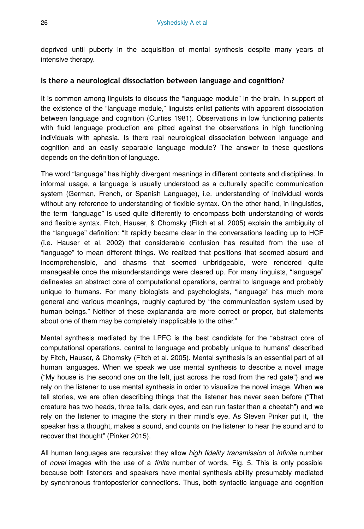deprived until puberty in the acquisition of mental synthesis despite many years of intensive therapy.

## **Is there a neurological dissociation between language and cognition?**

It is common among linguists to discuss the "language module" in the brain. In support of the existence of the "language module," linguists enlist patients with apparent dissociation between language and cognition (Curtiss 1981). Observations in low functioning patients with fluid language production are pitted against the observations in high functioning individuals with aphasia. Is there real neurological dissociation between language and cognition and an easily separable language module? The answer to these questions depends on the definition of language.

The word "language" has highly divergent meanings in different contexts and disciplines. In informal usage, a language is usually understood as a culturally specific communication system (German, French, or Spanish Language), i.e. understanding of individual words without any reference to understanding of flexible syntax. On the other hand, in linguistics, the term "language" is used quite differently to encompass both understanding of words and flexible syntax. Fitch, Hauser, & Chomsky (Fitch et al. 2005) explain the ambiguity of the "language" definition: "It rapidly became clear in the conversations leading up to HCF (i.e. Hauser et al. 2002) that considerable confusion has resulted from the use of "language" to mean different things. We realized that positions that seemed absurd and incomprehensible, and chasms that seemed unbridgeable, were rendered quite manageable once the misunderstandings were cleared up. For many linguists, "language" delineates an abstract core of computational operations, central to language and probably unique to humans. For many biologists and psychologists, "language" has much more general and various meanings, roughly captured by "the communication system used by human beings." Neither of these explananda are more correct or proper, but statements about one of them may be completely inapplicable to the other."

Mental synthesis mediated by the LPFC is the best candidate for the "abstract core of computational operations, central to language and probably unique to humans" described by Fitch, Hauser, & Chomsky (Fitch et al. 2005). Mental synthesis is an essential part of all human languages. When we speak we use mental synthesis to describe a novel image ("My house is the second one on the left, just across the road from the red gate") and we rely on the listener to use mental synthesis in order to visualize the novel image. When we tell stories, we are often describing things that the listener has never seen before ("That creature has two heads, three tails, dark eyes, and can run faster than a cheetah") and we rely on the listener to imagine the story in their mind's eye. As Steven Pinker put it, "the speaker has a thought, makes a sound, and counts on the listener to hear the sound and to recover that thought" (Pinker 2015).

All human languages are recursive: they allow *high fidelity transmission* of *infinite* number of *novel* images with the use of a *finite* number of words, Fig. 5. This is only possible because both listeners and speakers have mental synthesis ability presumably mediated by synchronous frontoposterior connections. Thus, both syntactic language and cognition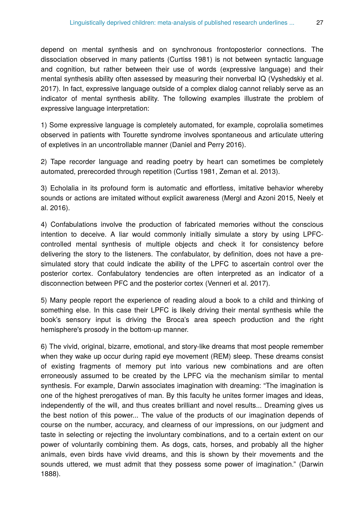depend on mental synthesis and on synchronous frontoposterior connections. The dissociation observed in many patients (Curtiss 1981) is not between syntactic language and cognition, but rather between their use of words (expressive language) and their mental synthesis ability often assessed by measuring their nonverbal IQ (Vyshedskiy et al. 2017). In fact, expressive language outside of a complex dialog cannot reliably serve as an indicator of mental synthesis ability. The following examples illustrate the problem of expressive language interpretation:

1) Some expressive language is completely automated, for example, coprolalia sometimes observed in patients with Tourette syndrome involves spontaneous and articulate uttering of expletives in an uncontrollable manner (Daniel and Perry 2016).

2) Tape recorder language and reading poetry by heart can sometimes be completely automated, prerecorded through repetition (Curtiss 1981, Zeman et al. 2013).

3) Echolalia in its profound form is automatic and effortless, imitative behavior whereby sounds or actions are imitated without explicit awareness (Mergl and Azoni 2015, Neely et al. 2016).

4) Confabulations involve the production of fabricated memories without the conscious intention to deceive. A liar would commonly initially simulate a story by using LPFCcontrolled mental synthesis of multiple objects and check it for consistency before delivering the story to the listeners. The confabulator, by definition, does not have a presimulated story that could indicate the ability of the LPFC to ascertain control over the posterior cortex. Confabulatory tendencies are often interpreted as an indicator of a disconnection between PFC and the posterior cortex (Venneri et al. 2017).

5) Many people report the experience of reading aloud a book to a child and thinking of something else. In this case their LPFC is likely driving their mental synthesis while the book's sensory input is driving the Broca's area speech production and the right hemisphere's prosody in the bottom-up manner.

6) The vivid, original, bizarre, emotional, and story-like dreams that most people remember when they wake up occur during rapid eye movement (REM) sleep. These dreams consist of existing fragments of memory put into various new combinations and are often erroneously assumed to be created by the LPFC via the mechanism similar to mental synthesis. For example, Darwin associates imagination with dreaming: "The imagination is one of the highest prerogatives of man. By this faculty he unites former images and ideas, independently of the will, and thus creates brilliant and novel results... Dreaming gives us the best notion of this power... The value of the products of our imagination depends of course on the number, accuracy, and clearness of our impressions, on our judgment and taste in selecting or rejecting the involuntary combinations, and to a certain extent on our power of voluntarily combining them. As dogs, cats, horses, and probably all the higher animals, even birds have vivid dreams, and this is shown by their movements and the sounds uttered, we must admit that they possess some power of imagination." (Darwin 1888).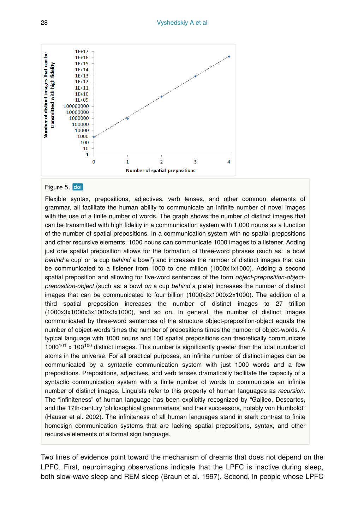

#### Figure 5. doi

Flexible syntax, prepositions, adjectives, verb tenses, and other common elements of grammar, all facilitate the human ability to communicate an infinite number of novel images with the use of a finite number of words. The graph shows the number of distinct images that can be transmitted with high fidelity in a communication system with 1,000 nouns as a function of the number of spatial prepositions. In a communication system with no spatial prepositions and other recursive elements, 1000 nouns can communicate 1000 images to a listener. Adding just one spatial preposition allows for the formation of three-word phrases (such as: 'a bowl *behind* a cup' or 'a cup *behind* a bowl') and increases the number of distinct images that can be communicated to a listener from 1000 to one million (1000x1x1000). Adding a second spatial preposition and allowing for five-word sentences of the form *object-preposition-objectpreposition-object* (such as: a bowl *on* a cup *behind* a plate) increases the number of distinct images that can be communicated to four billion (1000x2x1000x2x1000). The addition of a third spatial preposition increases the number of distinct images to 27 trillion (1000x3x1000x3x1000x3x1000), and so on. In general, the number of distinct images communicated by three-word sentences of the structure object-preposition-object equals the number of object-words times the number of prepositions times the number of object-words. A typical language with 1000 nouns and 100 spatial prepositions can theoretically communicate  $1000^{101}$  x  $100^{100}$  distinct images. This number is significantly greater than the total number of atoms in the universe. For all practical purposes, an infinite number of distinct images can be communicated by a syntactic communication system with just 1000 words and a few prepositions. Prepositions, adjectives, and verb tenses dramatically facilitate the capacity of a syntactic communication system with a finite number of words to communicate an infinite number of distinct images. Linguists refer to this property of human languages as *recursion*. The "infiniteness" of human language has been explicitly recognized by "Galileo, Descartes, and the 17th-century 'philosophical grammarians' and their successors, notably von Humboldt" (Hauser et al. 2002). The infiniteness of all human languages stand in stark contrast to finite homesign communication systems that are lacking spatial prepositions, syntax, and other recursive elements of a formal sign language.

Two lines of evidence point toward the mechanism of dreams that does not depend on the LPFC. First, neuroimaging observations indicate that the LPFC is inactive during sleep, both slow-wave sleep and REM sleep (Braun et al. 1997). Second, in people whose LPFC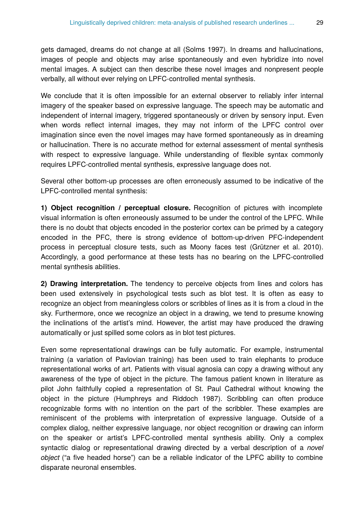gets damaged, dreams do not change at all (Solms 1997). In dreams and hallucinations, images of people and objects may arise spontaneously and even hybridize into novel mental images. A subject can then describe these novel images and nonpresent people verbally, all without ever relying on LPFC-controlled mental synthesis.

We conclude that it is often impossible for an external observer to reliably infer internal imagery of the speaker based on expressive language. The speech may be automatic and independent of internal imagery, triggered spontaneously or driven by sensory input. Even when words reflect internal images, they may not inform of the LPFC control over imagination since even the novel images may have formed spontaneously as in dreaming or hallucination. There is no accurate method for external assessment of mental synthesis with respect to expressive language. While understanding of flexible syntax commonly requires LPFC-controlled mental synthesis, expressive language does not.

Several other bottom-up processes are often erroneously assumed to be indicative of the LPFC-controlled mental synthesis:

**1) Object recognition / perceptual closure.** Recognition of pictures with incomplete visual information is often erroneously assumed to be under the control of the LPFC. While there is no doubt that objects encoded in the posterior cortex can be primed by a category encoded in the PFC, there is strong evidence of bottom-up-driven PFC-independent process in perceptual closure tests, such as Moony faces test (Grützner et al. 2010). Accordingly, a good performance at these tests has no bearing on the LPFC-controlled mental synthesis abilities.

**2) Drawing interpretation.** The tendency to perceive objects from lines and colors has been used extensively in psychological tests such as blot test. It is often as easy to recognize an object from meaningless colors or scribbles of lines as it is from a cloud in the sky. Furthermore, once we recognize an object in a drawing, we tend to presume knowing the inclinations of the artist's mind. However, the artist may have produced the drawing automatically or just spilled some colors as in blot test pictures.

Even some representational drawings can be fully automatic. For example, instrumental training (a variation of Pavlovian training) has been used to train elephants to produce representational works of art. Patients with visual agnosia can copy a drawing without any awareness of the type of object in the picture. The famous patient known in literature as pilot John faithfully copied a representation of St. Paul Cathedral without knowing the object in the picture (Humphreys and Riddoch 1987). Scribbling can often produce recognizable forms with no intention on the part of the scribbler. These examples are reminiscent of the problems with interpretation of expressive language. Outside of a complex dialog, neither expressive language, nor object recognition or drawing can inform on the speaker or artist's LPFC-controlled mental synthesis ability. Only a complex syntactic dialog or representational drawing directed by a verbal description of a *novel object* ("a five headed horse") can be a reliable indicator of the LPFC ability to combine disparate neuronal ensembles.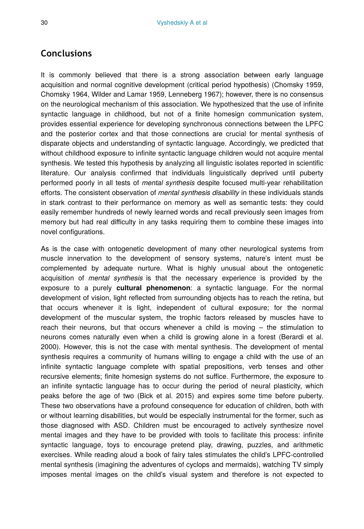# **Conclusions**

It is commonly believed that there is a strong association between early language acquisition and normal cognitive development (critical period hypothesis) (Chomsky 1959, Chomsky 1964, Wilder and Lamar 1959, Lenneberg 1967); however, there is no consensus on the neurological mechanism of this association. We hypothesized that the use of infinite syntactic language in childhood, but not of a finite homesign communication system, provides essential experience for developing synchronous connections between the LPFC and the posterior cortex and that those connections are crucial for mental synthesis of disparate objects and understanding of syntactic language. Accordingly, we predicted that without childhood exposure to infinite syntactic language children would not acquire mental synthesis. We tested this hypothesis by analyzing all linguistic isolates reported in scientific literature. Our analysis confirmed that individuals linguistically deprived until puberty performed poorly in all tests of *mental synthesis* despite focused multi-year rehabilitation efforts. The consistent observation of *mental synthesis disability* in these individuals stands in stark contrast to their performance on memory as well as semantic tests: they could easily remember hundreds of newly learned words and recall previously seen images from memory but had real difficulty in any tasks requiring them to combine these images into novel configurations.

As is the case with ontogenetic development of many other neurological systems from muscle innervation to the development of sensory systems, nature's intent must be complemented by adequate nurture. What is highly unusual about the ontogenetic acquisition of *mental synthesis* is that the necessary experience is provided by the exposure to a purely **cultural phenomenon**: a syntactic language. For the normal development of vision, light reflected from surrounding objects has to reach the retina, but that occurs whenever it is light, independent of cultural exposure; for the normal development of the muscular system, the trophic factors released by muscles have to reach their neurons, but that occurs whenever a child is moving – the stimulation to neurons comes naturally even when a child is growing alone in a forest (Berardi et al. 2000). However, this is not the case with mental synthesis. The development of mental synthesis requires a community of humans willing to engage a child with the use of an infinite syntactic language complete with spatial prepositions, verb tenses and other recursive elements; finite homesign systems do not suffice. Furthermore, the exposure to an infinite syntactic language has to occur during the period of neural plasticity, which peaks before the age of two (Bick et al. 2015) and expires some time before puberty. These two observations have a profound consequence for education of children, both with or without learning disabilities, but would be especially instrumental for the former, such as those diagnosed with ASD. Children must be encouraged to actively synthesize novel mental images and they have to be provided with tools to facilitate this process: infinite syntactic language, toys to encourage pretend play, drawing, puzzles, and arithmetic exercises. While reading aloud a book of fairy tales stimulates the child's LPFC-controlled mental synthesis (imagining the adventures of cyclops and mermaids), watching TV simply imposes mental images on the child's visual system and therefore is not expected to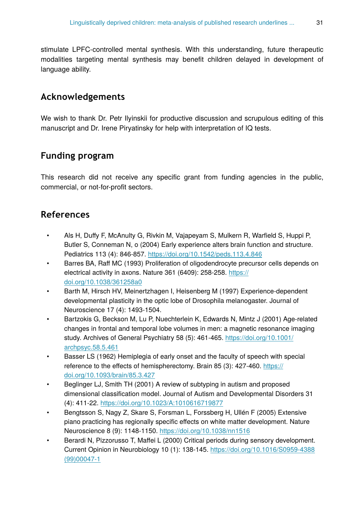stimulate LPFC-controlled mental synthesis. With this understanding, future therapeutic modalities targeting mental synthesis may benefit children delayed in development of language ability.

# **Acknowledgements**

We wish to thank Dr. Petr Ilyinskii for productive discussion and scrupulous editing of this manuscript and Dr. Irene Piryatinsky for help with interpretation of IQ tests.

# **Funding program**

This research did not receive any specific grant from funding agencies in the public, commercial, or not-for-profit sectors.

## **References**

- Als H, Duffy F, McAnulty G, Rivkin M, Vajapeyam S, Mulkern R, Warfield S, Huppi P, Butler S, Conneman N, o (2004) Early experience alters brain function and structure. Pediatrics 113 (4): 846‑857.<https://doi.org/10.1542/peds.113.4.846>
- Barres BA, Raff MC (1993) Proliferation of oligodendrocyte precursor cells depends on electrical activity in axons. Nature 361 (6409): 258-258. [https://](https://doi.org/10.1038/361258a0) [doi.org/10.1038/361258a0](https://doi.org/10.1038/361258a0)
- Barth M, Hirsch HV, Meinertzhagen I, Heisenberg M (1997) Experience-dependent developmental plasticity in the optic lobe of Drosophila melanogaster. Journal of Neuroscience 17 (4): 1493‑1504.
- Bartzokis G, Beckson M, Lu P, Nuechterlein K, Edwards N, Mintz J (2001) Age-related changes in frontal and temporal lobe volumes in men: a magnetic resonance imaging study. Archives of General Psychiatry 58 (5): 461-465. [https://doi.org/10.1001/](https://doi.org/10.1001/archpsyc.58.5.461) [archpsyc.58.5.461](https://doi.org/10.1001/archpsyc.58.5.461)
- Basser LS (1962) Hemiplegia of early onset and the faculty of speech with special reference to the effects of hemispherectomy. Brain 85 (3): 427-460. [https://](https://doi.org/10.1093/brain/85.3.427) [doi.org/10.1093/brain/85.3.427](https://doi.org/10.1093/brain/85.3.427)
- Beglinger LJ, Smith TH (2001) A review of subtyping in autism and proposed dimensional classification model. Journal of Autism and Developmental Disorders 31 (4): 411‑22.<https://doi.org/10.1023/A:1010616719877>
- Bengtsson S, Nagy Z, Skare S, Forsman L, Forssberg H, Ullén F (2005) Extensive piano practicing has regionally specific effects on white matter development. Nature Neuroscience 8 (9): 1148‑1150.<https://doi.org/10.1038/nn1516>
- Berardi N, Pizzorusso T, Maffei L (2000) Critical periods during sensory development. Current Opinion in Neurobiology 10 (1): 138‑145. [https://doi.org/10.1016/S0959-4388](https://doi.org/10.1016/S0959-4388(99)00047-1) [\(99\)00047-1](https://doi.org/10.1016/S0959-4388(99)00047-1)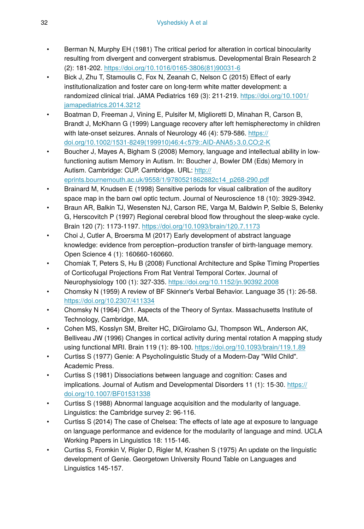- Berman N, Murphy EH (1981) The critical period for alteration in cortical binocularity resulting from divergent and convergent strabismus. Developmental Brain Research 2 (2): 181‑202. [https://doi.org/10.1016/0165-3806\(81\)90031-6](https://doi.org/10.1016/0165-3806(81)90031-6)
- Bick J, Zhu T, Stamoulis C, Fox N, Zeanah C, Nelson C (2015) Effect of early institutionalization and foster care on long-term white matter development: a randomized clinical trial. JAMA Pediatrics 169 (3): 211‑219. [https://doi.org/10.1001/](https://doi.org/10.1001/jamapediatrics.2014.3212) [jamapediatrics.2014.3212](https://doi.org/10.1001/jamapediatrics.2014.3212)
- Boatman D, Freeman J, Vining E, Pulsifer M, Miglioretti D, Minahan R, Carson B, Brandt J, McKhann G (1999) Language recovery after left hemispherectomy in children with late-onset seizures. Annals of Neurology 46 (4): 579-586. [https://](https://doi.org/10.1002/1531-8249(199910)46:4%3C579::AID-ANA5%3E3.0.CO;2-K) [doi.org/10.1002/1531-8249\(199910\)46:4<579::AID-ANA5>3.0.CO;2-K](https://doi.org/10.1002/1531-8249(199910)46:4%3C579::AID-ANA5%3E3.0.CO;2-K)
- Boucher J, Mayes A, Bigham S (2008) Memory, language and intellectual ability in lowfunctioning autism Memory in Autism. In: Boucher J, Bowler DM (Eds) Memory in Autism. Cambridge: CUP. Cambridge. URL: [http://](http://eprints.bournemouth.ac.uk/9558/1/9780521862882c14_p268-290.pdf) [eprints.bournemouth.ac.uk/9558/1/9780521862882c14\\_p268-290.pdf](http://eprints.bournemouth.ac.uk/9558/1/9780521862882c14_p268-290.pdf)
- Brainard M, Knudsen E (1998) Sensitive periods for visual calibration of the auditory space map in the barn owl optic tectum. Journal of Neuroscience 18 (10): 3929-3942.
- Braun AR, Balkin TJ, Wesensten NJ, Carson RE, Varga M, Baldwin P, Selbie S, Belenky G, Herscovitch P (1997) Regional cerebral blood flow throughout the sleep-wake cycle. Brain 120 (7): 1173‑1197.<https://doi.org/10.1093/brain/120.7.1173>
- Choi J, Cutler A, Broersma M (2017) Early development of abstract language knowledge: evidence from perception–production transfer of birth-language memory. Open Science 4 (1): 160660‑160660.
- Chomiak T, Peters S, Hu B (2008) Functional Architecture and Spike Timing Properties of Corticofugal Projections From Rat Ventral Temporal Cortex. Journal of Neurophysiology 100 (1): 327‑335.<https://doi.org/10.1152/jn.90392.2008>
- Chomsky N (1959) A review of BF Skinner's Verbal Behavior. Language 35 (1): 26‑58. <https://doi.org/10.2307/411334>
- Chomsky N (1964) Ch1. Aspects of the Theory of Syntax. Massachusetts Institute of Technology, Cambridge, MA.
- Cohen MS, Kosslyn SM, Breiter HC, DiGirolamo GJ, Thompson WL, Anderson AK, Belliveau JW (1996) Changes in cortical activity during mental rotation A mapping study using functional MRI. Brain 119 (1): 89‑100.<https://doi.org/10.1093/brain/119.1.89>
- Curtiss S (1977) Genie: A Psycholinguistic Study of a Modern-Day "Wild Child". Academic Press.
- Curtiss S (1981) Dissociations between language and cognition: Cases and implications. Journal of Autism and Developmental Disorders 11 (1): 15-30. [https://](https://doi.org/10.1007/BF01531338) [doi.org/10.1007/BF01531338](https://doi.org/10.1007/BF01531338)
- Curtiss S (1988) Abnormal language acquisition and the modularity of language. Linguistics: the Cambridge survey 2: 96‑116.
- Curtiss S (2014) The case of Chelsea: The effects of late age at exposure to language on language performance and evidence for the modularity of language and mind. UCLA Working Papers in Linguistics 18: 115-146.
- Curtiss S, Fromkin V, Rigler D, Rigler M, Krashen S (1975) An update on the linguistic development of Genie. Georgetown University Round Table on Languages and Linguistics 145‑157.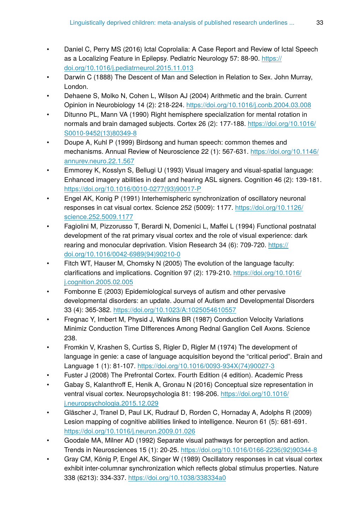- Daniel C, Perry MS (2016) Ictal Coprolalia: A Case Report and Review of Ictal Speech as a Localizing Feature in Epilepsy. Pediatric Neurology 57: 88-90. [https://](https://doi.org/10.1016/j.pediatrneurol.2015.11.013) [doi.org/10.1016/j.pediatrneurol.2015.11.013](https://doi.org/10.1016/j.pediatrneurol.2015.11.013)
- Darwin C (1888) The Descent of Man and Selection in Relation to Sex. John Murray, London.
- Dehaene S, Molko N, Cohen L, Wilson AJ (2004) Arithmetic and the brain. Current Opinion in Neurobiology 14 (2): 218‑224.<https://doi.org/10.1016/j.conb.2004.03.008>
- Ditunno PL, Mann VA (1990) Right hemisphere specialization for mental rotation in normals and brain damaged subjects. Cortex 26 (2): 177‑188. [https://doi.org/10.1016/](https://doi.org/10.1016/S0010-9452(13)80349-8) [S0010-9452\(13\)80349-8](https://doi.org/10.1016/S0010-9452(13)80349-8)
- Doupe A, Kuhl P (1999) Birdsong and human speech: common themes and mechanisms. Annual Review of Neuroscience 22 (1): 567‑631. [https://doi.org/10.1146/](https://doi.org/10.1146/annurev.neuro.22.1.567) [annurev.neuro.22.1.567](https://doi.org/10.1146/annurev.neuro.22.1.567)
- Emmorey K, Kosslyn S, Bellugi U (1993) Visual imagery and visual-spatial language: Enhanced imagery abilities in deaf and hearing ASL signers. Cognition 46 (2): 139‑181. [https://doi.org/10.1016/0010-0277\(93\)90017-P](https://doi.org/10.1016/0010-0277(93)90017-P)
- Engel AK, Konig P (1991) Interhemispheric synchronization of oscillatory neuronal responses in cat visual cortex. Science 252 (5009): 1177. [https://doi.org/10.1126/](https://doi.org/10.1126/science.252.5009.1177) [science.252.5009.1177](https://doi.org/10.1126/science.252.5009.1177)
- Fagiolini M, Pizzorusso T, Berardi N, Domenici L, Maffei L (1994) Functional postnatal development of the rat primary visual cortex and the role of visual experience: dark rearing and monocular deprivation. Vision Research 34 (6): 709-720. [https://](https://doi.org/10.1016/0042-6989(94)90210-0) [doi.org/10.1016/0042-6989\(94\)90210-0](https://doi.org/10.1016/0042-6989(94)90210-0)
- Fitch WT, Hauser M, Chomsky N (2005) The evolution of the language faculty: clarifications and implications. Cognition 97 (2): 179‑210. [https://doi.org/10.1016/](https://doi.org/10.1016/j.cognition.2005.02.005) [j.cognition.2005.02.005](https://doi.org/10.1016/j.cognition.2005.02.005)
- Fombonne E (2003) Epidemiological surveys of autism and other pervasive developmental disorders: an update. Journal of Autism and Developmental Disorders 33 (4): 365‑382. <https://doi.org/10.1023/A:1025054610557>
- Fregnac Y, Imbert M, Physid J, Watkins BR (1987) Conduction Velocity Variations Minimiz Conduction Time DIfferences Among Rednal Ganglion Cell Axons. Science 238.
- Fromkin V, Krashen S, Curtiss S, Rigler D, Rigler M (1974) The development of language in genie: a case of language acquisition beyond the "critical period". Brain and Language 1 (1): 81‑107. [https://doi.org/10.1016/0093-934X\(74\)90027-3](https://doi.org/10.1016/0093-934X(74)90027-3)
- Fuster J (2008) The Prefrontal Cortex. Fourth Edition (4 edition). Academic Press
- Gabay S, Kalanthroff E, Henik A, Gronau N (2016) Conceptual size representation in ventral visual cortex. Neuropsychologia 81: 198-206. [https://doi.org/10.1016/](https://doi.org/10.1016/j.neuropsychologia.2015.12.029) [j.neuropsychologia.2015.12.029](https://doi.org/10.1016/j.neuropsychologia.2015.12.029)
- Gläscher J, Tranel D, Paul LK, Rudrauf D, Rorden C, Hornaday A, Adolphs R (2009) Lesion mapping of cognitive abilities linked to intelligence. Neuron 61 (5): 681-691. <https://doi.org/10.1016/j.neuron.2009.01.026>
- Goodale MA, Milner AD (1992) Separate visual pathways for perception and action. Trends in Neurosciences 15 (1): 20‑25. [https://doi.org/10.1016/0166-2236\(92\)90344-8](https://doi.org/10.1016/0166-2236(92)90344-8)
- Gray CM, König P, Engel AK, Singer W (1989) Oscillatory responses in cat visual cortex exhibit inter-columnar synchronization which reflects global stimulus properties. Nature 338 (6213): 334‑337. <https://doi.org/10.1038/338334a0>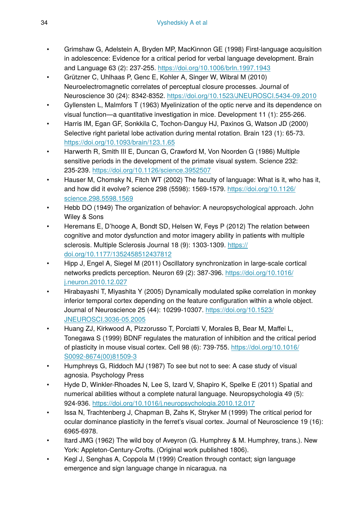- Grimshaw G, Adelstein A, Bryden MP, MacKinnon GE (1998) First-language acquisition in adolescence: Evidence for a critical period for verbal language development. Brain and Language 63 (2): 237‑255. <https://doi.org/10.1006/brln.1997.1943>
- Grützner C, Uhlhaas P, Genc E, Kohler A, Singer W, Wibral M (2010) Neuroelectromagnetic correlates of perceptual closure processes. Journal of Neuroscience 30 (24): 8342‑8352. <https://doi.org/10.1523/JNEUROSCI.5434-09.2010>
- Gyllensten L, Malmfors T (1963) Myelinization of the optic nerve and its dependence on visual function—a quantitative investigation in mice. Development 11 (1): 255‑266.
- Harris IM, Egan GF, Sonkkila C, Tochon-Danguy HJ, Paxinos G, Watson JD (2000) Selective right parietal lobe activation during mental rotation. Brain 123 (1): 65-73. <https://doi.org/10.1093/brain/123.1.65>
- Harwerth R, Smith III E, Duncan G, Crawford M, Von Noorden G (1986) Multiple sensitive periods in the development of the primate visual system. Science 232: 235‑239. <https://doi.org/10.1126/science.3952507>
- Hauser M, Chomsky N, Fitch WT (2002) The faculty of language: What is it, who has it, and how did it evolve? science 298 (5598): 1569‑1579. [https://doi.org/10.1126/](https://doi.org/10.1126/science.298.5598.1569) [science.298.5598.1569](https://doi.org/10.1126/science.298.5598.1569)
- Hebb DO (1949) The organization of behavior: A neuropsychological approach. John Wiley & Sons
- Heremans E, D'hooge A, Bondt SD, Helsen W, Feys P (2012) The relation between cognitive and motor dysfunction and motor imagery ability in patients with multiple sclerosis. Multiple Sclerosis Journal 18 (9): 1303-1309. [https://](https://doi.org/10.1177/1352458512437812) [doi.org/10.1177/1352458512437812](https://doi.org/10.1177/1352458512437812)
- Hipp J, Engel A, Siegel M (2011) Oscillatory synchronization in large-scale cortical networks predicts perception. Neuron 69 (2): 387‑396. [https://doi.org/10.1016/](https://doi.org/10.1016/j.neuron.2010.12.027) [j.neuron.2010.12.027](https://doi.org/10.1016/j.neuron.2010.12.027)
- Hirabayashi T, Miyashita Y (2005) Dynamically modulated spike correlation in monkey inferior temporal cortex depending on the feature configuration within a whole object. Journal of Neuroscience 25 (44): 10299‑10307. [https://doi.org/10.1523/](https://doi.org/10.1523/JNEUROSCI.3036-05.2005) [JNEUROSCI.3036-05.2005](https://doi.org/10.1523/JNEUROSCI.3036-05.2005)
- Huang ZJ, Kirkwood A, Pizzorusso T, Porciatti V, Morales B, Bear M, Maffei L, Tonegawa S (1999) BDNF regulates the maturation of inhibition and the critical period of plasticity in mouse visual cortex. Cell 98 (6): 739‑755. [https://doi.org/10.1016/](https://doi.org/10.1016/S0092-8674(00)81509-3) [S0092-8674\(00\)81509-3](https://doi.org/10.1016/S0092-8674(00)81509-3)
- Humphreys G, Riddoch MJ (1987) To see but not to see: A case study of visual agnosia. Psychology Press
- Hyde D, Winkler-Rhoades N, Lee S, Izard V, Shapiro K, Spelke E (2011) Spatial and numerical abilities without a complete natural language. Neuropsychologia 49 (5): 924‑936. <https://doi.org/10.1016/j.neuropsychologia.2010.12.017>
- Issa N, Trachtenberg J, Chapman B, Zahs K, Stryker M (1999) The critical period for ocular dominance plasticity in the ferret's visual cortex. Journal of Neuroscience 19 (16): 6965‑6978.
- Itard JMG (1962) The wild boy of Aveyron (G. Humphrey & M. Humphrey, trans.). New York: Appleton-Century-Crofts. (Original work published 1806).
- Kegl J, Senghas A, Coppola M (1999) Creation through contact; sign language emergence and sign language change in nicaragua. na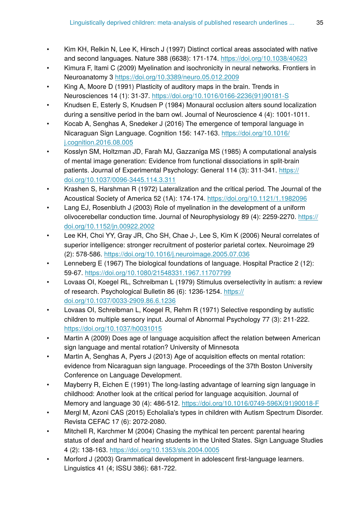- Kim KH, Relkin N, Lee K, Hirsch J (1997) Distinct cortical areas associated with native and second languages. Nature 388 (6638): 171‑174.<https://doi.org/10.1038/40623>
- Kimura F, Itami C (2009) Myelination and isochronicity in neural networks. Frontiers in Neuroanatomy 3 <https://doi.org/10.3389/neuro.05.012.2009>
- King A, Moore D (1991) Plasticity of auditory maps in the brain. Trends in Neurosciences 14 (1): 31‑37. [https://doi.org/10.1016/0166-2236\(91\)90181-S](https://doi.org/10.1016/0166-2236(91)90181-S)
- Knudsen E, Esterly S, Knudsen P (1984) Monaural occlusion alters sound localization during a sensitive period in the barn owl. Journal of Neuroscience 4 (4): 1001-1011.
- Kocab A, Senghas A, Snedeker J (2016) The emergence of temporal language in Nicaraguan Sign Language. Cognition 156: 147‑163. [https://doi.org/10.1016/](https://doi.org/10.1016/j.cognition.2016.08.005) [j.cognition.2016.08.005](https://doi.org/10.1016/j.cognition.2016.08.005)
- Kosslyn SM, Holtzman JD, Farah MJ, Gazzaniga MS (1985) A computational analysis of mental image generation: Evidence from functional dissociations in split-brain patients. Journal of Experimental Psychology: General 114 (3): 311-341. [https://](https://doi.org/10.1037/0096-3445.114.3.311) [doi.org/10.1037/0096-3445.114.3.311](https://doi.org/10.1037/0096-3445.114.3.311)
- Krashen S, Harshman R (1972) Lateralization and the critical period. The Journal of the Acoustical Society of America 52 (1A): 174‑174.<https://doi.org/10.1121/1.1982096>
- Lang EJ, Rosenbluth J (2003) Role of myelination in the development of a uniform olivocerebellar conduction time. Journal of Neurophysiology 89 (4): 2259‑2270. [https://](https://doi.org/10.1152/jn.00922.2002) [doi.org/10.1152/jn.00922.2002](https://doi.org/10.1152/jn.00922.2002)
- Lee KH, Choi YY, Gray JR, Cho SH, Chae J-, Lee S, Kim K (2006) Neural correlates of superior intelligence: stronger recruitment of posterior parietal cortex. Neuroimage 29 (2): 578‑586. <https://doi.org/10.1016/j.neuroimage.2005.07.036>
- Lenneberg E (1967) The biological foundations of language. Hospital Practice 2 (12): 59‑67.<https://doi.org/10.1080/21548331.1967.11707799>
- Lovaas OI, Koegel RL, Schreibman L (1979) Stimulus overselectivity in autism: a review of research. Psychological Bulletin 86 (6): 1236‑1254. [https://](https://doi.org/10.1037/0033-2909.86.6.1236) [doi.org/10.1037/0033-2909.86.6.1236](https://doi.org/10.1037/0033-2909.86.6.1236)
- Lovaas OI, Schreibman L, Koegel R, Rehm R (1971) Selective responding by autistic children to multiple sensory input. Journal of Abnormal Psychology 77 (3): 211‑222. <https://doi.org/10.1037/h0031015>
- Martin A (2009) Does age of language acquisition affect the relation between American sign language and mental rotation? University of Minnesota
- Martin A, Senghas A, Pyers J (2013) Age of acquisition effects on mental rotation: evidence from Nicaraguan sign language. Proceedings of the 37th Boston University Conference on Language Development.
- Mayberry R, Eichen E (1991) The long-lasting advantage of learning sign language in childhood: Another look at the critical period for language acquisition. Journal of Memory and language 30 (4): 486‑512. [https://doi.org/10.1016/0749-596X\(91\)90018-F](https://doi.org/10.1016/0749-596X(91)90018-F)
- Mergl M, Azoni CAS (2015) Echolalia's types in children with Autism Spectrum Disorder. Revista CEFAC 17 (6): 2072‑2080.
- Mitchell R, Karchmer M (2004) Chasing the mythical ten percent: parental hearing status of deaf and hard of hearing students in the United States. Sign Language Studies 4 (2): 138‑163. <https://doi.org/10.1353/sls.2004.0005>
- Morford J (2003) Grammatical development in adolescent first-language learners. Linguistics 41 (4; ISSU 386): 681‑722.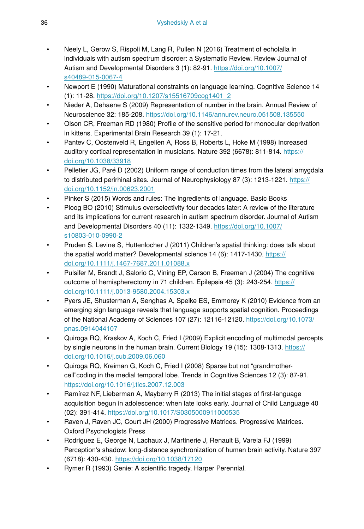- Neely L, Gerow S, Rispoli M, Lang R, Pullen N (2016) Treatment of echolalia in individuals with autism spectrum disorder: a Systematic Review. Review Journal of Autism and Developmental Disorders 3 (1): 82‑91. [https://doi.org/10.1007/](https://doi.org/10.1007/s40489-015-0067-4) [s40489-015-0067-4](https://doi.org/10.1007/s40489-015-0067-4)
- Newport E (1990) Maturational constraints on language learning. Cognitive Science 14 (1): 11‑28. [https://doi.org/10.1207/s15516709cog1401\\_2](https://doi.org/10.1207/s15516709cog1401_2)
- Nieder A, Dehaene S (2009) Representation of number in the brain. Annual Review of Neuroscience 32: 185‑208.<https://doi.org/10.1146/annurev.neuro.051508.135550>
- Olson CR, Freeman RD (1980) Profile of the sensitive period for monocular deprivation in kittens. Experimental Brain Research 39 (1): 17‑21.
- Pantev C, Oostenveld R, Engelien A, Ross B, Roberts L, Hoke M (1998) Increased auditory cortical representation in musicians. Nature 392 (6678): 811-814. [https://](https://doi.org/10.1038/33918) [doi.org/10.1038/33918](https://doi.org/10.1038/33918)
- Pelletier JG, Paré D (2002) Uniform range of conduction times from the lateral amygdala to distributed perirhinal sites. Journal of Neurophysiology 87 (3): 1213-1221. [https://](https://doi.org/10.1152/jn.00623.2001) [doi.org/10.1152/jn.00623.2001](https://doi.org/10.1152/jn.00623.2001)
- Pinker S (2015) Words and rules: The ingredients of language. Basic Books
- Ploog BO (2010) Stimulus overselectivity four decades later: A review of the literature and its implications for current research in autism spectrum disorder. Journal of Autism and Developmental Disorders 40 (11): 1332‑1349. [https://doi.org/10.1007/](https://doi.org/10.1007/s10803-010-0990-2) [s10803-010-0990-2](https://doi.org/10.1007/s10803-010-0990-2)
- Pruden S, Levine S, Huttenlocher J (2011) Children's spatial thinking: does talk about the spatial world matter? Developmental science 14 (6): 1417-1430. [https://](https://doi.org/10.1111/j.1467-7687.2011.01088.x) [doi.org/10.1111/j.1467-7687.2011.01088.x](https://doi.org/10.1111/j.1467-7687.2011.01088.x)
- Pulsifer M, Brandt J, Salorio C, Vining EP, Carson B, Freeman J (2004) The cognitive outcome of hemispherectomy in 71 children. Epilepsia 45 (3): 243-254. [https://](https://doi.org/10.1111/j.0013-9580.2004.15303.x) [doi.org/10.1111/j.0013-9580.2004.15303.x](https://doi.org/10.1111/j.0013-9580.2004.15303.x)
- Pyers JE, Shusterman A, Senghas A, Spelke ES, Emmorey K (2010) Evidence from an emerging sign language reveals that language supports spatial cognition. Proceedings of the National Academy of Sciences 107 (27): 12116-12120. [https://doi.org/10.1073/](https://doi.org/10.1073/pnas.0914044107) [pnas.0914044107](https://doi.org/10.1073/pnas.0914044107)
- Quiroga RQ, Kraskov A, Koch C, Fried I (2009) Explicit encoding of multimodal percepts by single neurons in the human brain. Current Biology 19 (15): 1308-1313. [https://](https://doi.org/10.1016/j.cub.2009.06.060) [doi.org/10.1016/j.cub.2009.06.060](https://doi.org/10.1016/j.cub.2009.06.060)
- Quiroga RQ, Kreiman G, Koch C, Fried I (2008) Sparse but not "grandmothercell"coding in the medial temporal lobe. Trends in Cognitive Sciences 12 (3): 87‑91. <https://doi.org/10.1016/j.tics.2007.12.003>
- Ramírez NF, Lieberman A, Mayberry R (2013) The initial stages of first-language acquisition begun in adolescence: when late looks early. Journal of Child Language 40 (02): 391‑414. <https://doi.org/10.1017/S0305000911000535>
- Raven J, Raven JC, Court JH (2000) Progressive Matrices. Progressive Matrices. Oxford Psychologists Press
- Rodriguez E, George N, Lachaux J, Martinerie J, Renault B, Varela FJ (1999) Perception's shadow: long-distance synchronization of human brain activity. Nature 397 (6718): 430‑430.<https://doi.org/10.1038/17120>
- Rymer R (1993) Genie: A scientific tragedy. Harper Perennial.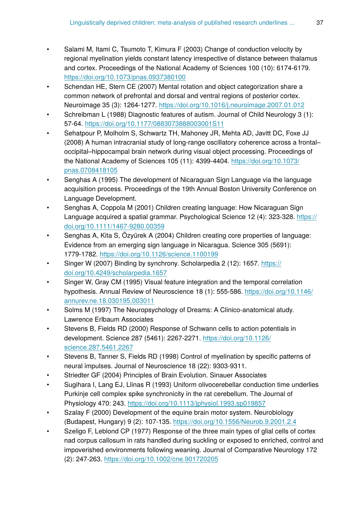- Salami M, Itami C, Tsumoto T, Kimura F (2003) Change of conduction velocity by regional myelination yields constant latency irrespective of distance between thalamus and cortex. Proceedings of the National Academy of Sciences 100 (10): 6174‑6179. <https://doi.org/10.1073/pnas.0937380100>
- Schendan HE, Stern CE (2007) Mental rotation and object categorization share a common network of prefrontal and dorsal and ventral regions of posterior cortex. Neuroimage 35 (3): 1264‑1277.<https://doi.org/10.1016/j.neuroimage.2007.01.012>
- Schreibman L (1988) Diagnostic features of autism. Journal of Child Neurology 3 (1): 57‑64.<https://doi.org/10.1177/0883073888003001S11>
- Sehatpour P, Molholm S, Schwartz TH, Mahoney JR, Mehta AD, Javitt DC, Foxe JJ (2008) A human intracranial study of long-range oscillatory coherence across a frontal– occipital–hippocampal brain network during visual object processing. Proceedings of the National Academy of Sciences 105 (11): 4399-4404. [https://doi.org/10.1073/](https://doi.org/10.1073/pnas.0708418105) [pnas.0708418105](https://doi.org/10.1073/pnas.0708418105)
- Senghas A (1995) The development of Nicaraguan Sign Language via the language acquisition process. Proceedings of the 19th Annual Boston University Conference on Language Development.
- Senghas A, Coppola M (2001) Children creating language: How Nicaraguan Sign Language acquired a spatial grammar. Psychological Science 12 (4): 323-328. [https://](https://doi.org/10.1111/1467-9280.00359) [doi.org/10.1111/1467-9280.00359](https://doi.org/10.1111/1467-9280.00359)
- Senghas A, Kita S, Özyürek A (2004) Children creating core properties of language: Evidence from an emerging sign language in Nicaragua. Science 305 (5691): 1779‑1782.<https://doi.org/10.1126/science.1100199>
- Singer W (2007) Binding by synchrony. Scholarpedia 2 (12): 1657. [https://](https://doi.org/10.4249/scholarpedia.1657) [doi.org/10.4249/scholarpedia.1657](https://doi.org/10.4249/scholarpedia.1657)
- Singer W, Gray CM (1995) Visual feature integration and the temporal correlation hypothesis. Annual Review of Neuroscience 18 (1): 555‑586. [https://doi.org/10.1146/](https://doi.org/10.1146/annurev.ne.18.030195.003011) [annurev.ne.18.030195.003011](https://doi.org/10.1146/annurev.ne.18.030195.003011)
- Solms M (1997) The Neuropsychology of Dreams: A Clinico-anatomical atudy. Lawrence Erlbaum Associates
- Stevens B, Fields RD (2000) Response of Schwann cells to action potentials in development. Science 287 (5461): 2267‑2271. [https://doi.org/10.1126/](https://doi.org/10.1126/science.287.5461.2267) [science.287.5461.2267](https://doi.org/10.1126/science.287.5461.2267)
- Stevens B, Tanner S, Fields RD (1998) Control of myelination by specific patterns of neural impulses. Journal of Neuroscience 18 (22): 9303‑9311.
- Striedter GF (2004) Principles of Brain Evolution. Sinauer Associates
- Sugihara I, Lang EJ, Llinas R (1993) Uniform olivocerebellar conduction time underlies Purkinje cell complex spike synchronicity in the rat cerebellum. The Journal of Physiology 470: 243. <https://doi.org/10.1113/jphysiol.1993.sp019857>
- Szalay F (2000) Development of the equine brain motor system. Neurobiology (Budapest, Hungary) 9 (2): 107‑135.<https://doi.org/10.1556/Neurob.9.2001.2.4>
- Szeligo F, Leblond CP (1977) Response of the three main types of glial cells of cortex nad corpus callosum in rats handled during suckling or exposed to enriched, control and impoverished environments following weaning. Journal of Comparative Neurology 172 (2): 247‑263. <https://doi.org/10.1002/cne.901720205>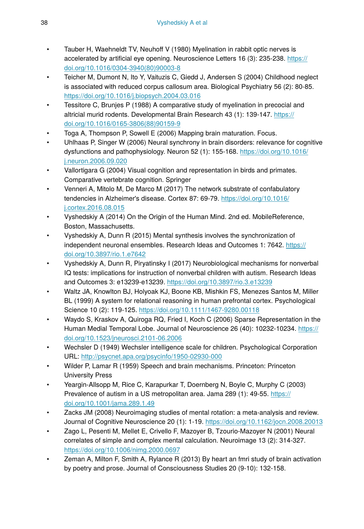- Tauber H, Waehneldt TV, Neuhoff V (1980) Myelination in rabbit optic nerves is accelerated by artificial eye opening. Neuroscience Letters 16 (3): 235-238. [https://](https://doi.org/10.1016/0304-3940(80)90003-8) [doi.org/10.1016/0304-3940\(80\)90003-8](https://doi.org/10.1016/0304-3940(80)90003-8)
- Teicher M, Dumont N, Ito Y, Vaituzis C, Giedd J, Andersen S (2004) Childhood neglect is associated with reduced corpus callosum area. Biological Psychiatry 56 (2): 80‑85. <https://doi.org/10.1016/j.biopsych.2004.03.016>
- Tessitore C, Brunjes P (1988) A comparative study of myelination in precocial and altricial murid rodents. Developmental Brain Research 43 (1): 139‑147. [https://](https://doi.org/10.1016/0165-3806(88)90159-9) [doi.org/10.1016/0165-3806\(88\)90159-9](https://doi.org/10.1016/0165-3806(88)90159-9)
- Toga A, Thompson P, Sowell E (2006) Mapping brain maturation. Focus.
- Uhlhaas P, Singer W (2006) Neural synchrony in brain disorders: relevance for cognitive dysfunctions and pathophysiology. Neuron 52 (1): 155-168. [https://doi.org/10.1016/](https://doi.org/10.1016/j.neuron.2006.09.020) [j.neuron.2006.09.020](https://doi.org/10.1016/j.neuron.2006.09.020)
- Vallortigara G (2004) Visual cognition and representation in birds and primates. Comparative vertebrate cognition. Springer
- Venneri A, Mitolo M, De Marco M (2017) The network substrate of confabulatory tendencies in Alzheimer's disease. Cortex 87: 69‑79. [https://doi.org/10.1016/](https://doi.org/10.1016/j.cortex.2016.08.015) [j.cortex.2016.08.015](https://doi.org/10.1016/j.cortex.2016.08.015)
- Vyshedskiy A (2014) On the Origin of the Human Mind. 2nd ed. MobileReference, Boston, Massachusetts.
- Vyshedskiy A, Dunn R (2015) Mental synthesis involves the synchronization of independent neuronal ensembles. Research Ideas and Outcomes 1: 7642. [https://](https://doi.org/10.3897/rio.1.e7642) [doi.org/10.3897/rio.1.e7642](https://doi.org/10.3897/rio.1.e7642)
- Vyshedskiy A, Dunn R, Piryatinsky I (2017) Neurobiological mechanisms for nonverbal IQ tests: implications for instruction of nonverbal children with autism. Research Ideas and Outcomes 3: e13239‑e13239. <https://doi.org/10.3897/rio.3.e13239>
- Waltz JA, Knowlton BJ, Holyoak KJ, Boone KB, Mishkin FS, Menezes Santos M, Miller BL (1999) A system for relational reasoning in human prefrontal cortex. Psychological Science 10 (2): 119‑125.<https://doi.org/10.1111/1467-9280.00118>
- Waydo S, Kraskov A, Quiroga RQ, Fried I, Koch C (2006) Sparse Representation in the Human Medial Temporal Lobe. Journal of Neuroscience 26 (40): 10232-10234. [https://](https://doi.org/10.1523/jneurosci.2101-06.2006) [doi.org/10.1523/jneurosci.2101-06.2006](https://doi.org/10.1523/jneurosci.2101-06.2006)
- Wechsler D (1949) Wechsler intelligence scale for children. Psychological Corporation URL:<http://psycnet.apa.org/psycinfo/1950-02930-000>
- Wilder P, Lamar R (1959) Speech and brain mechanisms. Princeton: Princeton University Press
- Yeargin-Allsopp M, Rice C, Karapurkar T, Doernberg N, Boyle C, Murphy C (2003) Prevalence of autism in a US metropolitan area. Jama 289 (1): 49-55. [https://](https://doi.org/10.1001/jama.289.1.49) [doi.org/10.1001/jama.289.1.49](https://doi.org/10.1001/jama.289.1.49)
- Zacks JM (2008) Neuroimaging studies of mental rotation: a meta-analysis and review. Journal of Cognitive Neuroscience 20 (1): 1-19. <https://doi.org/10.1162/jocn.2008.20013>
- Zago L, Pesenti M, Mellet E, Crivello F, Mazoyer B, Tzourio-Mazoyer N (2001) Neural correlates of simple and complex mental calculation. Neuroimage 13 (2): 314‑327. <https://doi.org/10.1006/nimg.2000.0697>
- Zeman A, Milton F, Smith A, Rylance R (2013) By heart an fmri study of brain activation by poetry and prose. Journal of Consciousness Studies 20 (9-10): 132‑158.